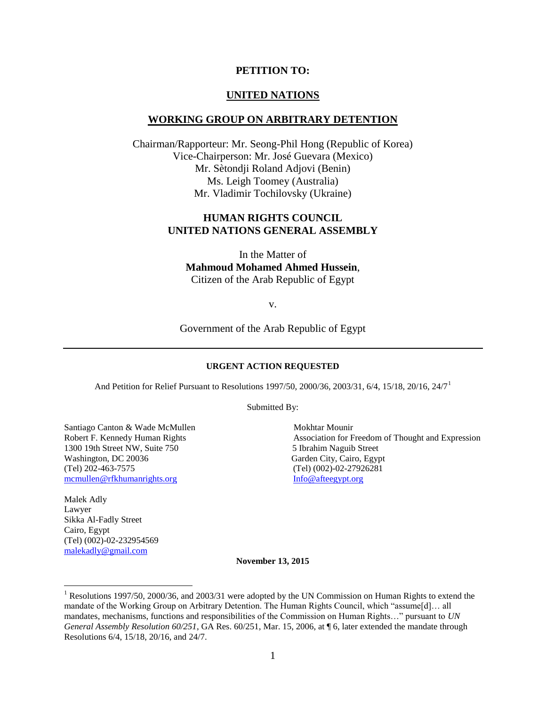#### **PETITION TO:**

#### **UNITED NATIONS**

#### **WORKING GROUP ON ARBITRARY DETENTION**

Chairman/Rapporteur: Mr. Seong-Phil Hong (Republic of Korea) Vice-Chairperson: Mr. José Guevara (Mexico) Mr. Sètondji Roland Adjovi (Benin) Ms. Leigh Toomey (Australia) Mr. Vladimir Tochilovsky (Ukraine)

#### **HUMAN RIGHTS COUNCIL UNITED NATIONS GENERAL ASSEMBLY**

In the Matter of **Mahmoud Mohamed Ahmed Hussein**, Citizen of the Arab Republic of Egypt

v.

Government of the Arab Republic of Egypt

#### **URGENT ACTION REQUESTED**

And Petition for Relief Pursuant to Resolutions 1997/50, 2000/36, 2003/31, 6/4, 15/18, 20/16, 24/7<sup>1</sup>

Submitted By:

Santiago Canton & Wade McMullen Mokhtar Mounir 1300 19th Street NW, Suite 750 5 Ibrahim Naguib Street Washington, DC 20036 Garden City, Cairo, Egypt (Tel) 202-463-7575 (Tel) (002)-02-27926281 [mcmullen@rfkhumanrights.org](mailto:mcmullen@rfkhumanrights.org) [Info@afteegypt.org](mailto:Info@afteegypt.org)

Malek Adly Lawyer Sikka Al-Fadly Street Cairo, Egypt (Tel) (002)-02-232954569 [malekadly@gmail.com](mailto:malekadly@gmail.com)

 $\overline{\phantom{a}}$ 

Robert F. Kennedy Human Rights **Association** for Freedom of Thought and Expression

**November 13, 2015**

<sup>&</sup>lt;sup>1</sup> Resolutions 1997/50, 2000/36, and 2003/31 were adopted by the UN Commission on Human Rights to extend the mandate of the Working Group on Arbitrary Detention. The Human Rights Council, which "assume[d]… all mandates, mechanisms, functions and responsibilities of the Commission on Human Rights…" pursuant to *UN General Assembly Resolution 60/251*, GA Res. 60/251, Mar. 15, 2006, at ¶ 6, later extended the mandate through Resolutions 6/4, 15/18, 20/16, and 24/7.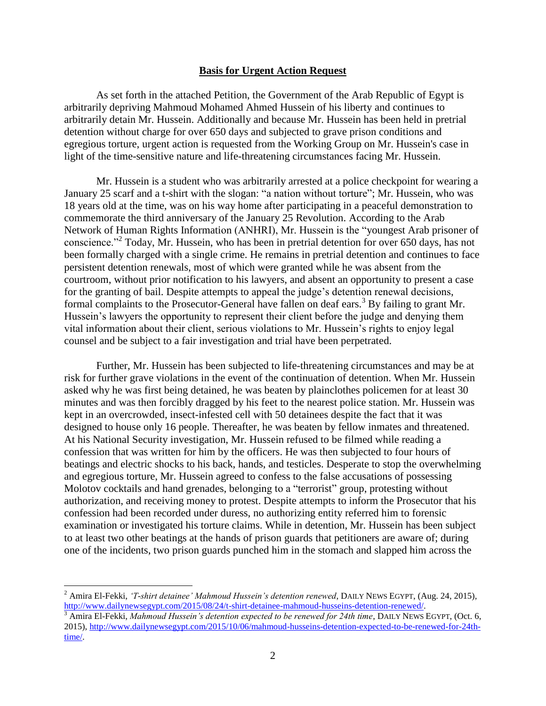#### **Basis for Urgent Action Request**

As set forth in the attached Petition, the Government of the Arab Republic of Egypt is arbitrarily depriving Mahmoud Mohamed Ahmed Hussein of his liberty and continues to arbitrarily detain Mr. Hussein. Additionally and because Mr. Hussein has been held in pretrial detention without charge for over 650 days and subjected to grave prison conditions and egregious torture, urgent action is requested from the Working Group on Mr. Hussein's case in light of the time-sensitive nature and life-threatening circumstances facing Mr. Hussein.

Mr. Hussein is a student who was arbitrarily arrested at a police checkpoint for wearing a January 25 scarf and a t-shirt with the slogan: "a nation without torture"; Mr. Hussein, who was 18 years old at the time, was on his way home after participating in a peaceful demonstration to commemorate the third anniversary of the January 25 Revolution. According to the Arab Network of Human Rights Information (ANHRI), Mr. Hussein is the "youngest Arab prisoner of conscience."<sup>2</sup> Today, Mr. Hussein, who has been in pretrial detention for over 650 days, has not been formally charged with a single crime. He remains in pretrial detention and continues to face persistent detention renewals, most of which were granted while he was absent from the courtroom, without prior notification to his lawyers, and absent an opportunity to present a case for the granting of bail. Despite attempts to appeal the judge's detention renewal decisions, formal complaints to the Prosecutor-General have fallen on deaf ears.<sup>3</sup> By failing to grant Mr. Hussein's lawyers the opportunity to represent their client before the judge and denying them vital information about their client, serious violations to Mr. Hussein's rights to enjoy legal counsel and be subject to a fair investigation and trial have been perpetrated.

Further, Mr. Hussein has been subjected to life-threatening circumstances and may be at risk for further grave violations in the event of the continuation of detention. When Mr. Hussein asked why he was first being detained, he was beaten by plainclothes policemen for at least 30 minutes and was then forcibly dragged by his feet to the nearest police station. Mr. Hussein was kept in an overcrowded, insect-infested cell with 50 detainees despite the fact that it was designed to house only 16 people. Thereafter, he was beaten by fellow inmates and threatened. At his National Security investigation, Mr. Hussein refused to be filmed while reading a confession that was written for him by the officers. He was then subjected to four hours of beatings and electric shocks to his back, hands, and testicles. Desperate to stop the overwhelming and egregious torture, Mr. Hussein agreed to confess to the false accusations of possessing Molotov cocktails and hand grenades, belonging to a "terrorist" group, protesting without authorization, and receiving money to protest. Despite attempts to inform the Prosecutor that his confession had been recorded under duress, no authorizing entity referred him to forensic examination or investigated his torture claims. While in detention, Mr. Hussein has been subject to at least two other beatings at the hands of prison guards that petitioners are aware of; during one of the incidents, two prison guards punched him in the stomach and slapped him across the

<sup>2</sup> Amira El-Fekki, *'T-shirt detainee' Mahmoud Hussein's detention renewed*, DAILY NEWS EGYPT, (Aug. 24, 2015), [http://www.dailynewsegypt.com/2015/08/24/t-shirt-detainee-mahmoud-husseins-detention-renewed/.](http://www.dailynewsegypt.com/2015/08/24/t-shirt-detainee-mahmoud-husseins-detention-renewed/)

<sup>3</sup> Amira El-Fekki, *Mahmoud Hussein's detention expected to be renewed for 24th time*, DAILY NEWS EGYPT, (Oct. 6, 2015), [http://www.dailynewsegypt.com/2015/10/06/mahmoud-husseins-detention-expected-to-be-renewed-for-24th](http://www.dailynewsegypt.com/2015/10/06/mahmoud-husseins-detention-expected-to-be-renewed-for-24th-time/)[time/.](http://www.dailynewsegypt.com/2015/10/06/mahmoud-husseins-detention-expected-to-be-renewed-for-24th-time/)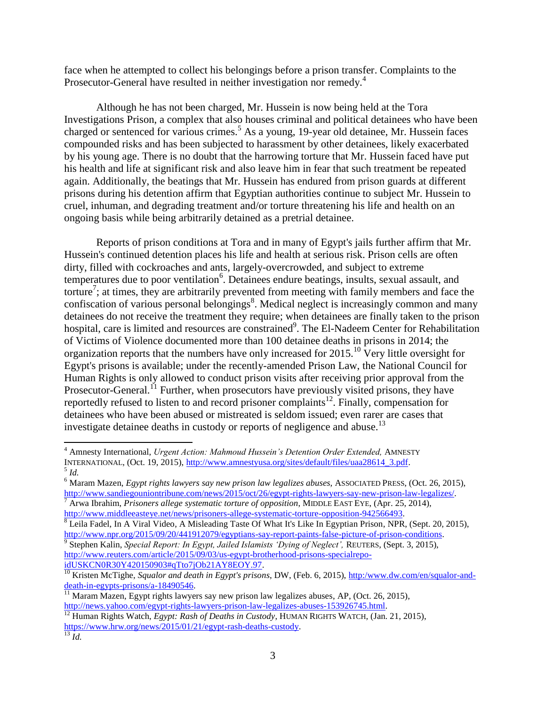face when he attempted to collect his belongings before a prison transfer. Complaints to the Prosecutor-General have resulted in neither investigation nor remedy.<sup>4</sup>

Although he has not been charged, Mr. Hussein is now being held at the Tora Investigations Prison, a complex that also houses criminal and political detainees who have been charged or sentenced for various crimes.<sup>5</sup> As a young, 19-year old detainee, Mr. Hussein faces compounded risks and has been subjected to harassment by other detainees, likely exacerbated by his young age. There is no doubt that the harrowing torture that Mr. Hussein faced have put his health and life at significant risk and also leave him in fear that such treatment be repeated again. Additionally, the beatings that Mr. Hussein has endured from prison guards at different prisons during his detention affirm that Egyptian authorities continue to subject Mr. Hussein to cruel, inhuman, and degrading treatment and/or torture threatening his life and health on an ongoing basis while being arbitrarily detained as a pretrial detainee.

Reports of prison conditions at Tora and in many of Egypt's jails further affirm that Mr. Hussein's continued detention places his life and health at serious risk. Prison cells are often dirty, filled with cockroaches and ants, largely-overcrowded, and subject to extreme temperatures due to poor ventilation<sup>6</sup>. Detainees endure beatings, insults, sexual assault, and torture<sup>7</sup>; at times, they are arbitrarily prevented from meeting with family members and face the confiscation of various personal belongings<sup>8</sup>. Medical neglect is increasingly common and many detainees do not receive the treatment they require; when detainees are finally taken to the prison hospital, care is limited and resources are constrained<sup>9</sup>. The El-Nadeem Center for Rehabilitation of Victims of Violence documented more than 100 detainee deaths in prisons in 2014; the organization reports that the numbers have only increased for  $2015$ .<sup>10</sup> Very little oversight for Egypt's prisons is available; under the recently-amended Prison Law, the National Council for Human Rights is only allowed to conduct prison visits after receiving prior approval from the Prosecutor-General.<sup>11</sup> Further, when prosecutors have previously visited prisons, they have reportedly refused to listen to and record prisoner complaints<sup>12</sup>. Finally, compensation for detainees who have been abused or mistreated is seldom issued; even rarer are cases that investigate detainee deaths in custody or reports of negligence and abuse.<sup>13</sup>

<sup>4</sup> Amnesty International, *Urgent Action: Mahmoud Hussein's Detention Order Extended,* AMNESTY INTERNATIONAL, (Oct. 19, 2015)[, http://www.amnestyusa.org/sites/default/files/uaa28614\\_3.pdf.](http://www.amnestyusa.org/sites/default/files/uaa28614_3.pdf) 5 *Id.*

<sup>6</sup> Maram Mazen, *Egypt rights lawyers say new prison law legalizes abuses,* ASSOCIATED PRESS, (Oct. 26, 2015), [http://www.sandiegouniontribune.com/news/2015/oct/26/egypt-rights-lawyers-say-new-prison-law-legalizes/.](http://www.sandiegouniontribune.com/news/2015/oct/26/egypt-rights-lawyers-say-new-prison-law-legalizes/) <sup>7</sup> Arwa Ibrahim, *Prisoners allege systematic torture of opposition*, MIDDLE EAST EYE, (Apr. 25, 2014),

[http://www.middleeasteye.net/news/prisoners-allege-systematic-torture-opposition-942566493.](http://www.middleeasteye.net/news/prisoners-allege-systematic-torture-opposition-942566493)

 $8$  Leila Fadel, In A Viral Video, A Misleading Taste Of What It's Like In Egyptian Prison, NPR, (Sept. 20, 2015), [http://www.npr.org/2015/09/20/441912079/egyptians-say-report-paints-false-picture-of-prison-conditions.](http://www.npr.org/2015/09/20/441912079/egyptians-say-report-paints-false-picture-of-prison-conditions)

<sup>9</sup> Stephen Kalin, *Special Report: In Egypt, Jailed Islamists 'Dying of Neglect',* REUTERS, (Sept. 3, 2015), [http://www.reuters.com/article/2015/09/03/us-egypt-brotherhood-prisons-specialrepo](http://www.reuters.com/article/2015/09/03/us-egypt-brotherhood-prisons-specialrepo-idUSKCN0R30Y420150903#qTto7jOb21AY8EOY.97)[idUSKCN0R30Y420150903#qTto7jOb21AY8EOY.97.](http://www.reuters.com/article/2015/09/03/us-egypt-brotherhood-prisons-specialrepo-idUSKCN0R30Y420150903#qTto7jOb21AY8EOY.97)

<sup>&</sup>lt;sup>10</sup> Kristen McTighe, *Squalor and death in Egypt's prisons*, DW, (Feb. 6, 2015), [http:/www.dw.com/en/squalor-and](http://www.dw.com/en/squalor-and-death-in-egypts-prisons/a-18490546http:/www.dw.com/en/squalor-and-death-in-egypts-prisons/a-18490546)[death-in-egypts-prisons/a-18490546.](http://www.dw.com/en/squalor-and-death-in-egypts-prisons/a-18490546http:/www.dw.com/en/squalor-and-death-in-egypts-prisons/a-18490546)

 $\frac{11}{11}$  Maram Mazen, Egypt rights lawyers say new prison law legalizes abuses, AP, (Oct. 26, 2015), [http://news.yahoo.com/egypt-rights-lawyers-prison-law-legalizes-abuses-153926745.html.](http://news.yahoo.com/egypt-rights-lawyers-prison-law-legalizes-abuses-153926745.html)

<sup>&</sup>lt;sup>12</sup> Human Rights Watch, *Egypt: Rash of Deaths in Custody*, HUMAN RIGHTS WATCH, (Jan. 21, 2015), [https://www.hrw.org/news/2015/01/21/egypt-rash-deaths-custody.](https://www.hrw.org/news/2015/01/21/egypt-rash-deaths-custody)

<sup>13</sup> *Id.*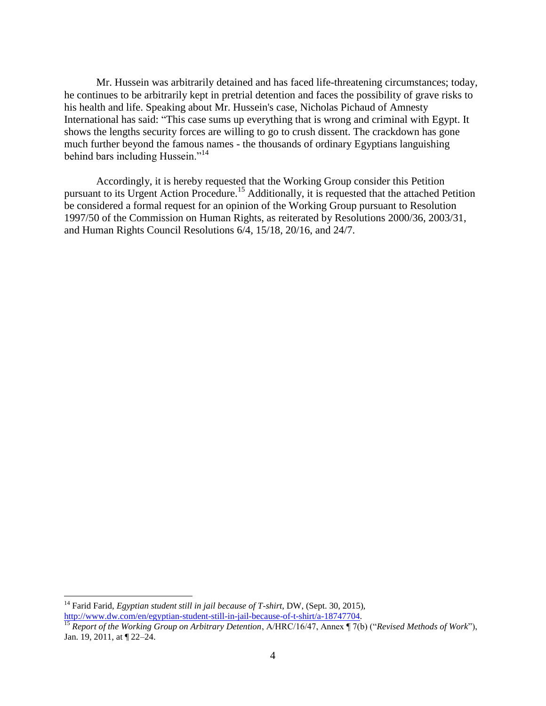Mr. Hussein was arbitrarily detained and has faced life-threatening circumstances; today, he continues to be arbitrarily kept in pretrial detention and faces the possibility of grave risks to his health and life. Speaking about Mr. Hussein's case, Nicholas Pichaud of Amnesty International has said: "This case sums up everything that is wrong and criminal with Egypt. It shows the lengths security forces are willing to go to crush dissent. The crackdown has gone much further beyond the famous names - the thousands of ordinary Egyptians languishing behind bars including Hussein."<sup>14</sup>

Accordingly, it is hereby requested that the Working Group consider this Petition pursuant to its Urgent Action Procedure.<sup>15</sup> Additionally, it is requested that the attached Petition be considered a formal request for an opinion of the Working Group pursuant to Resolution 1997/50 of the Commission on Human Rights, as reiterated by Resolutions 2000/36, 2003/31, and Human Rights Council Resolutions 6/4, 15/18, 20/16, and 24/7.

<sup>&</sup>lt;sup>14</sup> Farid Farid, *Egyptian student still in jail because of T-shirt*, DW, (Sept. 30, 2015), [http://www.dw.com/en/egyptian-student-still-in-jail-because-of-t-shirt/a-18747704.](http://www.dw.com/en/egyptian-student-still-in-jail-because-of-t-shirt/a-18747704)

<sup>15</sup> *Report of the Working Group on Arbitrary Detention*, A/HRC/16/47, Annex ¶ 7(b) ("*Revised Methods of Work*"), Jan. 19, 2011, at ¶ 22–24.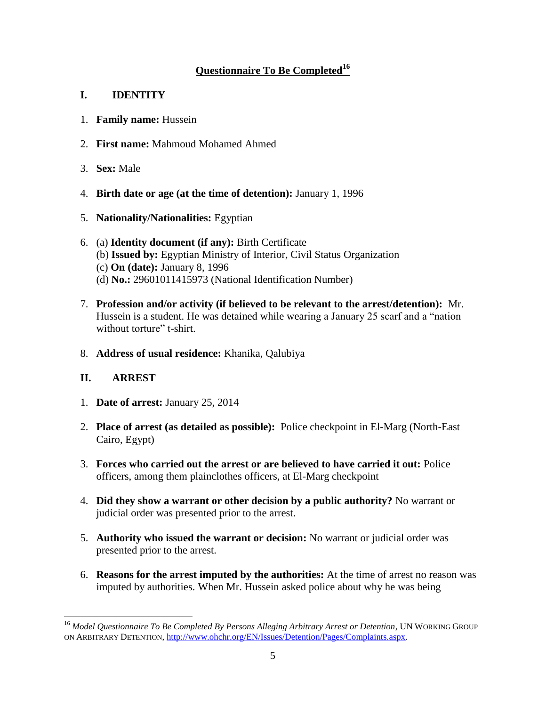# **Questionnaire To Be Completed<sup>16</sup>**

# **I. IDENTITY**

- 1. **Family name:** Hussein
- 2. **First name:** Mahmoud Mohamed Ahmed
- 3. **Sex:** Male
- 4. **Birth date or age (at the time of detention):** January 1, 1996
- 5. **Nationality/Nationalities:** Egyptian
- 6. (a) **Identity document (if any):** Birth Certificate (b) **Issued by:** Egyptian Ministry of Interior, Civil Status Organization (c) **On (date):** January 8, 1996 (d) **No.:** 29601011415973 (National Identification Number)
- 7. **Profession and/or activity (if believed to be relevant to the arrest/detention):** Mr. Hussein is a student. He was detained while wearing a January 25 scarf and a "nation without torture" t-shirt.
- 8. **Address of usual residence:** Khanika, Qalubiya

# **II. ARREST**

- 1. **Date of arrest:** January 25, 2014
- 2. **Place of arrest (as detailed as possible):** Police checkpoint in El-Marg (North-East Cairo, Egypt)
- 3. **Forces who carried out the arrest or are believed to have carried it out:** Police officers, among them plainclothes officers, at El-Marg checkpoint
- 4. **Did they show a warrant or other decision by a public authority?** No warrant or judicial order was presented prior to the arrest.
- 5. **Authority who issued the warrant or decision:** No warrant or judicial order was presented prior to the arrest.
- 6. **Reasons for the arrest imputed by the authorities:** At the time of arrest no reason was imputed by authorities. When Mr. Hussein asked police about why he was being

l <sup>16</sup> Model Questionnaire To Be Completed By Persons Alleging Arbitrary Arrest or Detention, UN WORKING GROUP ON ARBITRARY DETENTION, [http://www.ohchr.org/EN/Issues/Detention/Pages/Complaints.aspx.](http://www.ohchr.org/EN/Issues/Detention/Pages/Complaints.aspx)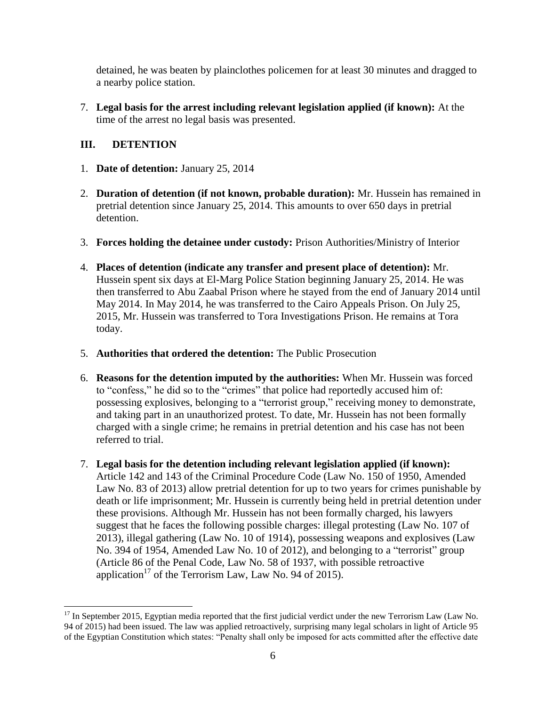detained, he was beaten by plainclothes policemen for at least 30 minutes and dragged to a nearby police station.

7. **Legal basis for the arrest including relevant legislation applied (if known):** At the time of the arrest no legal basis was presented.

# **III. DETENTION**

- 1. **Date of detention:** January 25, 2014
- 2. **Duration of detention (if not known, probable duration):** Mr. Hussein has remained in pretrial detention since January 25, 2014. This amounts to over 650 days in pretrial detention.
- 3. **Forces holding the detainee under custody:** Prison Authorities/Ministry of Interior
- 4. **Places of detention (indicate any transfer and present place of detention):** Mr. Hussein spent six days at El-Marg Police Station beginning January 25, 2014. He was then transferred to Abu Zaabal Prison where he stayed from the end of January 2014 until May 2014. In May 2014, he was transferred to the Cairo Appeals Prison. On July 25, 2015, Mr. Hussein was transferred to Tora Investigations Prison. He remains at Tora today.
- 5. **Authorities that ordered the detention:** The Public Prosecution
- 6. **Reasons for the detention imputed by the authorities:** When Mr. Hussein was forced to "confess," he did so to the "crimes" that police had reportedly accused him of: possessing explosives, belonging to a "terrorist group," receiving money to demonstrate, and taking part in an unauthorized protest. To date, Mr. Hussein has not been formally charged with a single crime; he remains in pretrial detention and his case has not been referred to trial.
- 7. **Legal basis for the detention including relevant legislation applied (if known):** Article 142 and 143 of the Criminal Procedure Code (Law No. 150 of 1950, Amended Law No. 83 of 2013) allow pretrial detention for up to two years for crimes punishable by death or life imprisonment; Mr. Hussein is currently being held in pretrial detention under these provisions. Although Mr. Hussein has not been formally charged, his lawyers suggest that he faces the following possible charges: illegal protesting (Law No. 107 of 2013), illegal gathering (Law No. 10 of 1914), possessing weapons and explosives (Law No. 394 of 1954, Amended Law No. 10 of 2012), and belonging to a "terrorist" group (Article 86 of the Penal Code, Law No. 58 of 1937, with possible retroactive application<sup>17</sup> of the Terrorism Law, Law No. 94 of 2015).

l  $17$  In September 2015, Egyptian media reported that the first judicial verdict under the new Terrorism Law (Law No. 94 of 2015) had been issued. The law was applied retroactively, surprising many legal scholars in light of Article 95 of the Egyptian Constitution which states: "Penalty shall only be imposed for acts committed after the effective date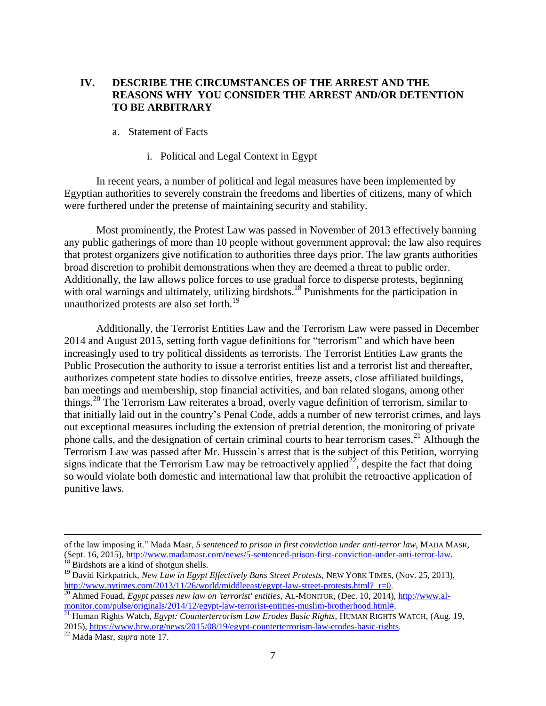## **IV. DESCRIBE THE CIRCUMSTANCES OF THE ARREST AND THE REASONS WHY YOU CONSIDER THE ARREST AND/OR DETENTION TO BE ARBITRARY**

#### a. Statement of Facts

#### i. Political and Legal Context in Egypt

In recent years, a number of political and legal measures have been implemented by Egyptian authorities to severely constrain the freedoms and liberties of citizens, many of which were furthered under the pretense of maintaining security and stability.

Most prominently, the Protest Law was passed in November of 2013 effectively banning any public gatherings of more than 10 people without government approval; the law also requires that protest organizers give notification to authorities three days prior. The law grants authorities broad discretion to prohibit demonstrations when they are deemed a threat to public order. Additionally, the law allows police forces to use gradual force to disperse protests, beginning with oral warnings and ultimately, utilizing birdshots.<sup>18</sup> Punishments for the participation in unauthorized protests are also set forth.<sup>19</sup>

Additionally, the Terrorist Entities Law and the Terrorism Law were passed in December 2014 and August 2015, setting forth vague definitions for "terrorism" and which have been increasingly used to try political dissidents as terrorists. The Terrorist Entities Law grants the Public Prosecution the authority to issue a terrorist entities list and a terrorist list and thereafter, authorizes competent state bodies to dissolve entities, freeze assets, close affiliated buildings, ban meetings and membership, stop financial activities, and ban related slogans, among other things.<sup>20</sup> The Terrorism Law reiterates a broad, overly vague definition of terrorism, similar to that initially laid out in the country's Penal Code, adds a number of new terrorist crimes, and lays out exceptional measures including the extension of pretrial detention, the monitoring of private phone calls, and the designation of certain criminal courts to hear terrorism cases.<sup>21</sup> Although the Terrorism Law was passed after Mr. Hussein's arrest that is the subject of this Petition, worrying signs indicate that the Terrorism Law may be retroactively applied<sup>22</sup>, despite the fact that doing so would violate both domestic and international law that prohibit the retroactive application of punitive laws.

of the law imposing it." Mada Masr, *5 sentenced to prison in first conviction under anti-terror law*, MADA MASR, (Sept. 16, 2015), [http://www.madamasr.com/news/5-sentenced-prison-first-conviction-under-anti-terror-law.](http://www.madamasr.com/news/5-sentenced-prison-first-conviction-under-anti-terror-law)

<sup>&</sup>lt;sup>18</sup> Birdshots are a kind of shotgun shells.

<sup>&</sup>lt;sup>19</sup> David Kirkpatrick, *New Law in Egypt Effectively Bans Street Protests*, NEW YORK TIMES, (Nov. 25, 2013), http://www.nytimes.com/2013/11/26/world/middleeast/egypt-law-street-protests.html? r=0.

<sup>&</sup>lt;sup>20</sup> Ahmed Fouad, *Egypt passes new law on 'terrorist' entities*, AL-MONITOR, (Dec. 10, 2014)[, http://www.al](http://www.al-monitor.com/pulse/originals/2014/12/egypt-law-terrorist-entities-muslim-brotherhood.html)[monitor.com/pulse/originals/2014/12/egypt-law-terrorist-entities-muslim-brotherhood.html#.](http://www.al-monitor.com/pulse/originals/2014/12/egypt-law-terrorist-entities-muslim-brotherhood.html)

<sup>21</sup> Human Rights Watch, *Egypt: Counterterrorism Law Erodes Basic Rights*, HUMAN RIGHTS WATCH, (Aug. 19, 2015), [https://www.hrw.org/news/2015/08/19/egypt-counterterrorism-law-erodes-basic-rights.](https://www.hrw.org/news/2015/08/19/egypt-counterterrorism-law-erodes-basic-rights) 

<sup>22</sup> Mada Masr, *supra* note 17.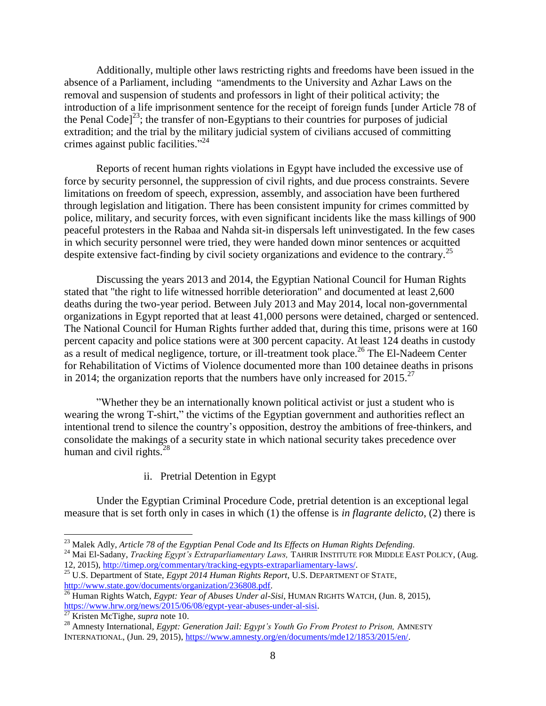Additionally, multiple other laws restricting rights and freedoms have been issued in the absence of a Parliament, including "amendments to the University and Azhar Laws on the removal and suspension of students and professors in light of their political activity; the introduction of a life imprisonment sentence for the receipt of foreign funds [under Article 78 of the Penal Code<sup> $23$ </sup>; the transfer of non-Egyptians to their countries for purposes of judicial extradition; and the trial by the military judicial system of civilians accused of committing crimes against public facilities."<sup>24</sup>

Reports of recent human rights violations in Egypt have included the excessive use of force by security personnel, the suppression of civil rights, and due process constraints. Severe limitations on freedom of speech, expression, assembly, and association have been furthered through legislation and litigation. There has been consistent impunity for crimes committed by police, military, and security forces, with even significant incidents like the mass killings of 900 peaceful protesters in the Rabaa and Nahda sit-in dispersals left uninvestigated. In the few cases in which security personnel were tried, they were handed down minor sentences or acquitted despite extensive fact-finding by civil society organizations and evidence to the contrary.<sup>25</sup>

Discussing the years 2013 and 2014, the Egyptian National Council for Human Rights stated that "the right to life witnessed horrible deterioration" and documented at least 2,600 deaths during the two-year period. Between July 2013 and May 2014, local non-governmental organizations in Egypt reported that at least 41,000 persons were detained, charged or sentenced. The National Council for Human Rights further added that, during this time, prisons were at 160 percent capacity and police stations were at 300 percent capacity. At least 124 deaths in custody as a result of medical negligence, torture, or ill-treatment took place.<sup>26</sup> The El-Nadeem Center for Rehabilitation of Victims of Violence documented more than 100 detainee deaths in prisons in 2014; the organization reports that the numbers have only increased for  $2015$ .<sup>27</sup>

"Whether they be an internationally known political activist or just a student who is wearing the wrong T-shirt," the victims of the Egyptian government and authorities reflect an intentional trend to silence the country's opposition, destroy the ambitions of free-thinkers, and consolidate the makings of a security state in which national security takes precedence over human and civil rights. $^{28}$ 

## ii. Pretrial Detention in Egypt

Under the Egyptian Criminal Procedure Code, pretrial detention is an exceptional legal measure that is set forth only in cases in which (1) the offense is *in flagrante delicto*, (2) there is

<sup>23</sup> Malek Adly, *Article 78 of the Egyptian Penal Code and Its Effects on Human Rights Defending.*

<sup>&</sup>lt;sup>24</sup> Mai El-Sadany, *Tracking Egypt's Extraparliamentary Laws*, TAHRIR INSTITUTE FOR MIDDLE EAST POLICY, (Aug. 12, 2015), [http://timep.org/commentary/tracking-egypts-extraparliamentary-laws/.](http://timep.org/commentary/tracking-egypts-extraparliamentary-laws/)

<sup>25</sup> U.S. Department of State, *Egypt 2014 Human Rights Report*, U.S. DEPARTMENT OF STATE, [http://www.state.gov/documents/organization/236808.pdf.](http://www.state.gov/documents/organization/236808.pdf) 

<sup>26</sup> Human Rights Watch, *Egypt: Year of Abuses Under al-Sisi*, HUMAN RIGHTS WATCH, (Jun. 8, 2015), [https://www.hrw.org/news/2015/06/08/egypt-year-abuses-under-al-sisi.](https://www.hrw.org/news/2015/06/08/egypt-year-abuses-under-al-sisi)

<sup>27</sup> Kristen McTighe, *supra* note 10.

<sup>&</sup>lt;sup>28</sup> Amnesty International, *Egypt: Generation Jail: Egypt's Youth Go From Protest to Prison, AMNESTY* INTERNATIONAL, (Jun. 29, 2015), [https://www.amnesty.org/en/documents/mde12/1853/2015/en/.](https://www.amnesty.org/en/documents/mde12/1853/2015/en/)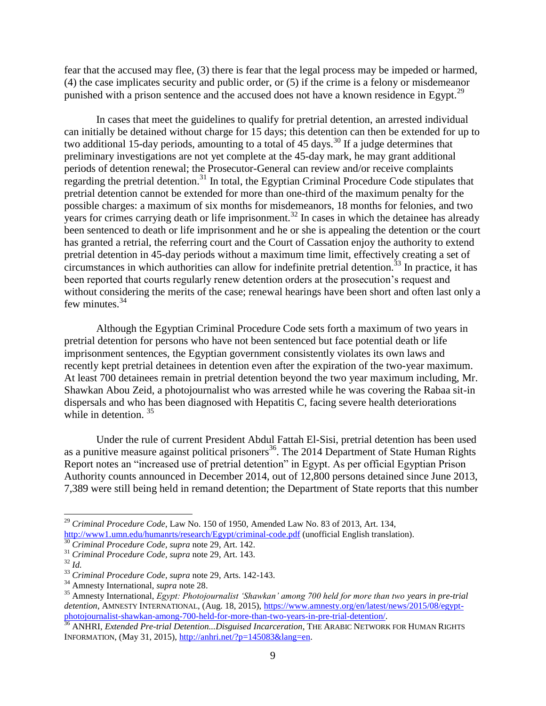fear that the accused may flee, (3) there is fear that the legal process may be impeded or harmed, (4) the case implicates security and public order, or (5) if the crime is a felony or misdemeanor punished with a prison sentence and the accused does not have a known residence in Egypt.<sup>29</sup>

In cases that meet the guidelines to qualify for pretrial detention, an arrested individual can initially be detained without charge for 15 days; this detention can then be extended for up to two additional 15-day periods, amounting to a total of 45 days.<sup>30</sup> If a judge determines that preliminary investigations are not yet complete at the 45-day mark, he may grant additional periods of detention renewal; the Prosecutor-General can review and/or receive complaints regarding the pretrial detention.<sup>31</sup> In total, the Egyptian Criminal Procedure Code stipulates that pretrial detention cannot be extended for more than one-third of the maximum penalty for the possible charges: a maximum of six months for misdemeanors, 18 months for felonies, and two years for crimes carrying death or life imprisonment.<sup>32</sup> In cases in which the detainee has already been sentenced to death or life imprisonment and he or she is appealing the detention or the court has granted a retrial, the referring court and the Court of Cassation enjoy the authority to extend pretrial detention in 45-day periods without a maximum time limit, effectively creating a set of circumstances in which authorities can allow for indefinite pretrial detention.<sup>33</sup> In practice, it has been reported that courts regularly renew detention orders at the prosecution's request and without considering the merits of the case; renewal hearings have been short and often last only a few minutes.<sup>34</sup>

Although the Egyptian Criminal Procedure Code sets forth a maximum of two years in pretrial detention for persons who have not been sentenced but face potential death or life imprisonment sentences, the Egyptian government consistently violates its own laws and recently kept pretrial detainees in detention even after the expiration of the two-year maximum. At least 700 detainees remain in pretrial detention beyond the two year maximum including, Mr. Shawkan Abou Zeid, a photojournalist who was arrested while he was covering the Rabaa sit-in dispersals and who has been diagnosed with Hepatitis C, facing severe health deteriorations while in detention.<sup>35</sup>

Under the rule of current President Abdul Fattah El-Sisi, pretrial detention has been used as a punitive measure against political prisoners<sup>36</sup>. The 2014 Department of State Human Rights Report notes an "increased use of pretrial detention" in Egypt. As per official Egyptian Prison Authority counts announced in December 2014, out of 12,800 persons detained since June 2013, 7,389 were still being held in remand detention; the Department of State reports that this number

<sup>29</sup> *Criminal Procedure Code*, Law No. 150 of 1950, Amended Law No. 83 of 2013, Art. 134, <http://www1.umn.edu/humanrts/research/Egypt/criminal-code.pdf> (unofficial English translation).

<sup>30</sup> *Criminal Procedure Code, supra* note 29, Art. 142.

<sup>31</sup> *Criminal Procedure Code, supra* note 29, Art. 143.

<sup>32</sup> *Id.*

<sup>33</sup> *Criminal Procedure Code, supra* note 29, Arts. 142-143.

<sup>34</sup> Amnesty International, *supra* note 28.

<sup>35</sup> Amnesty International, *Egypt: Photojournalist 'Shawkan' among 700 held for more than two years in pre-trial detention*, AMNESTY INTERNATIONAL, (Aug. 18, 2015), [https://www.amnesty.org/en/latest/news/2015/08/egypt](https://www.amnesty.org/en/latest/news/2015/08/egypt-photojournalist-shawkan-among-700-held-for-more-than-two-years-in-pre-trial-detention/)[photojournalist-shawkan-among-700-held-for-more-than-two-years-in-pre-trial-detention/.](https://www.amnesty.org/en/latest/news/2015/08/egypt-photojournalist-shawkan-among-700-held-for-more-than-two-years-in-pre-trial-detention/)

<sup>36</sup> ANHRI, *Extended Pre-trial Detention...Disguised Incarceration*, THE ARABIC NETWORK FOR HUMAN RIGHTS INFORMATION, (May 31, 2015), [http://anhri.net/?p=145083&lang=en.](http://anhri.net/?p=145083&lang=en)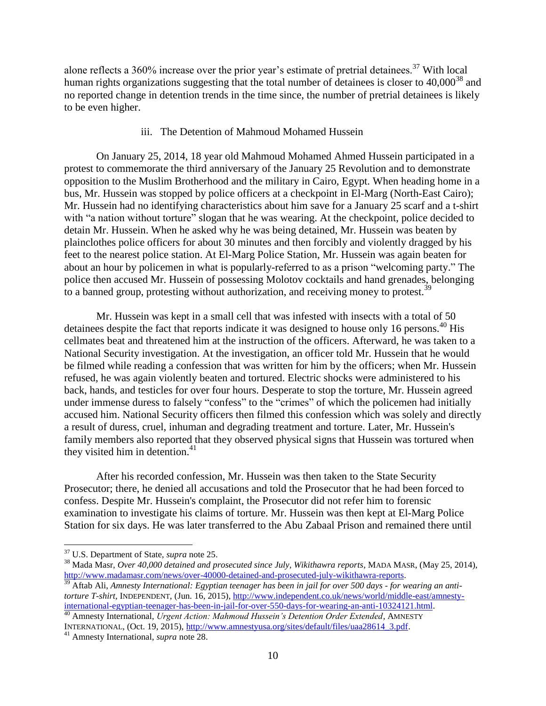alone reflects a 360% increase over the prior year's estimate of pretrial detainees.<sup>37</sup> With local human rights organizations suggesting that the total number of detainees is closer to  $40,000^{38}$  and no reported change in detention trends in the time since, the number of pretrial detainees is likely to be even higher.

### iii. The Detention of Mahmoud Mohamed Hussein

On January 25, 2014, 18 year old Mahmoud Mohamed Ahmed Hussein participated in a protest to commemorate the third anniversary of the January 25 Revolution and to demonstrate opposition to the Muslim Brotherhood and the military in Cairo, Egypt. When heading home in a bus, Mr. Hussein was stopped by police officers at a checkpoint in El-Marg (North-East Cairo); Mr. Hussein had no identifying characteristics about him save for a January 25 scarf and a t-shirt with "a nation without torture" slogan that he was wearing. At the checkpoint, police decided to detain Mr. Hussein. When he asked why he was being detained, Mr. Hussein was beaten by plainclothes police officers for about 30 minutes and then forcibly and violently dragged by his feet to the nearest police station. At El-Marg Police Station, Mr. Hussein was again beaten for about an hour by policemen in what is popularly-referred to as a prison "welcoming party." The police then accused Mr. Hussein of possessing Molotov cocktails and hand grenades, belonging to a banned group, protesting without authorization, and receiving money to protest.<sup>39</sup>

Mr. Hussein was kept in a small cell that was infested with insects with a total of 50 detainees despite the fact that reports indicate it was designed to house only 16 persons.<sup>40</sup> His cellmates beat and threatened him at the instruction of the officers. Afterward, he was taken to a National Security investigation. At the investigation, an officer told Mr. Hussein that he would be filmed while reading a confession that was written for him by the officers; when Mr. Hussein refused, he was again violently beaten and tortured. Electric shocks were administered to his back, hands, and testicles for over four hours. Desperate to stop the torture, Mr. Hussein agreed under immense duress to falsely "confess" to the "crimes" of which the policemen had initially accused him. National Security officers then filmed this confession which was solely and directly a result of duress, cruel, inhuman and degrading treatment and torture. Later, Mr. Hussein's family members also reported that they observed physical signs that Hussein was tortured when they visited him in detention. 41

After his recorded confession, Mr. Hussein was then taken to the State Security Prosecutor; there, he denied all accusations and told the Prosecutor that he had been forced to confess. Despite Mr. Hussein's complaint, the Prosecutor did not refer him to forensic examination to investigate his claims of torture. Mr. Hussein was then kept at El-Marg Police Station for six days. He was later transferred to the Abu Zabaal Prison and remained there until

l

<sup>39</sup> Aftab Ali, *Amnesty International: Egyptian teenager has been in jail for over 500 days - for wearing an antitorture T-shirt,* INDEPENDENT, (Jun. 16, 2015), [http://www.independent.co.uk/news/world/middle-east/amnesty](http://www.independent.co.uk/news/world/middle-east/amnesty-international-egyptian-teenager-has-been-in-jail-for-over-550-days-for-wearing-an-anti-10324121.html)[international-egyptian-teenager-has-been-in-jail-for-over-550-days-for-wearing-an-anti-10324121.html.](http://www.independent.co.uk/news/world/middle-east/amnesty-international-egyptian-teenager-has-been-in-jail-for-over-550-days-for-wearing-an-anti-10324121.html)

<sup>40</sup> Amnesty International, *Urgent Action: Mahmoud Hussein's Detention Order Extended,* AMNESTY INTERNATIONAL, (Oct. 19, 2015)[, http://www.amnestyusa.org/sites/default/files/uaa28614\\_3.pdf.](http://www.amnestyusa.org/sites/default/files/uaa28614_3.pdf)

<sup>37</sup> U.S. Department of State, *supra* note 25.

<sup>38</sup> Mada Masr, *Over 40,000 detained and prosecuted since July, Wikithawra reports*, MADA MASR, (May 25, 2014), [http://www.madamasr.com/news/over-40000-detained-and-prosecuted-july-wikithawra-reports.](http://www.madamasr.com/news/over-40000-detained-and-prosecuted-july-wikithawra-reports)

<sup>41</sup> Amnesty International, *supra* note 28.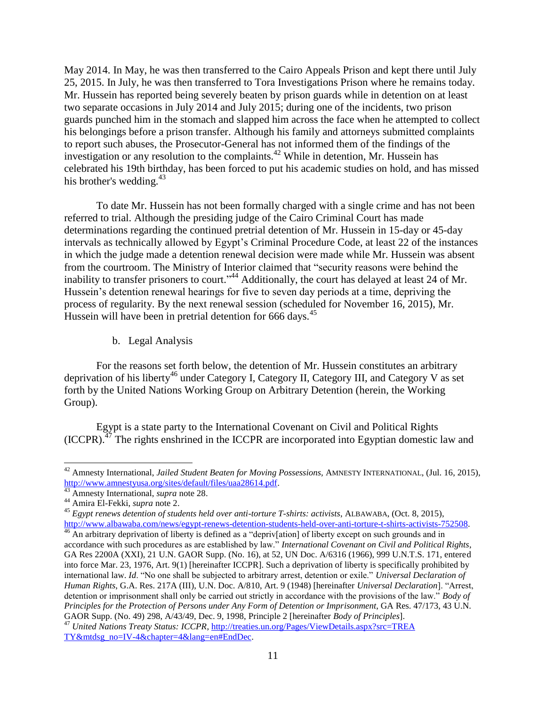May 2014. In May, he was then transferred to the Cairo Appeals Prison and kept there until July 25, 2015. In July, he was then transferred to Tora Investigations Prison where he remains today. Mr. Hussein has reported being severely beaten by prison guards while in detention on at least two separate occasions in July 2014 and July 2015; during one of the incidents, two prison guards punched him in the stomach and slapped him across the face when he attempted to collect his belongings before a prison transfer. Although his family and attorneys submitted complaints to report such abuses, the Prosecutor-General has not informed them of the findings of the investigation or any resolution to the complaints.<sup>42</sup> While in detention, Mr. Hussein has celebrated his 19th birthday, has been forced to put his academic studies on hold, and has missed his brother's wedding.<sup>43</sup>

To date Mr. Hussein has not been formally charged with a single crime and has not been referred to trial. Although the presiding judge of the Cairo Criminal Court has made determinations regarding the continued pretrial detention of Mr. Hussein in 15-day or 45-day intervals as technically allowed by Egypt's Criminal Procedure Code, at least 22 of the instances in which the judge made a detention renewal decision were made while Mr. Hussein was absent from the courtroom. The Ministry of Interior claimed that "security reasons were behind the inability to transfer prisoners to court."<sup>44</sup> Additionally, the court has delayed at least 24 of Mr. Hussein's detention renewal hearings for five to seven day periods at a time, depriving the process of regularity. By the next renewal session (scheduled for November 16, 2015), Mr. Hussein will have been in pretrial detention for 666 days.<sup>45</sup>

b. Legal Analysis

For the reasons set forth below, the detention of Mr. Hussein constitutes an arbitrary deprivation of his liberty<sup>46</sup> under Category I, Category II, Category III, and Category V as set forth by the United Nations Working Group on Arbitrary Detention (herein, the Working Group).

Egypt is a state party to the International Covenant on Civil and Political Rights  $(ICCPR).$ <sup>47</sup> The rights enshrined in the ICCPR are incorporated into Egyptian domestic law and

<sup>42</sup> Amnesty International, *Jailed Student Beaten for Moving Possessions,* AMNESTY INTERNATIONAL, (Jul. 16, 2015), [http://www.amnestyusa.org/sites/default/files/uaa28614.pdf.](http://www.amnestyusa.org/sites/default/files/uaa28614.pdf)

<sup>43</sup> Amnesty International, *supra* note 28.

<sup>44</sup> Amira El-Fekki, *supra* note 2.

<sup>45</sup> *Egypt renews detention of students held over anti-torture T-shirts: activists*, ALBAWABA, (Oct. 8, 2015), [http://www.albawaba.com/news/egypt-renews-detention-students-held-over-anti-torture-t-shirts-activists-752508.](http://www.albawaba.com/news/egypt-renews-detention-students-held-over-anti-torture-t-shirts-activists-752508)

<sup>&</sup>lt;sup>46</sup> An arbitrary deprivation of liberty is defined as a "depriv[ation] of liberty except on such grounds and in accordance with such procedures as are established by law." *International Covenant on Civil and Political Rights*, GA Res 2200A (XXI), 21 U.N. GAOR Supp. (No. 16), at 52, UN Doc. A/6316 (1966), 999 U.N.T.S. 171, entered into force Mar. 23, 1976, Art. 9(1) [hereinafter ICCPR]. Such a deprivation of liberty is specifically prohibited by international law. *Id*. "No one shall be subjected to arbitrary arrest, detention or exile." *Universal Declaration of Human Rights*, G.A. Res. 217A (III), U.N. Doc. A/810, Art. 9 (1948) [hereinafter *Universal Declaration*]. "Arrest, detention or imprisonment shall only be carried out strictly in accordance with the provisions of the law." *Body of Principles for the Protection of Persons under Any Form of Detention or Imprisonment*, GA Res. 47/173, 43 U.N. GAOR Supp. (No. 49) 298, A/43/49, Dec. 9, 1998, Principle 2 [hereinafter *Body of Principles*].

<sup>47</sup> *United Nations Treaty Status: ICCPR*, [http://treaties.un.org/Pages/ViewDetails.aspx?src=TREA](http://treaties.un.org/Pages/ViewDetails.aspx?src=TREA%20TY&mtdsg_no=IV-4&chapter=4&lang=en#EndDec)  [TY&mtdsg\\_no=IV-4&chapter=4&lang=en#EndDec.](http://treaties.un.org/Pages/ViewDetails.aspx?src=TREA%20TY&mtdsg_no=IV-4&chapter=4&lang=en#EndDec)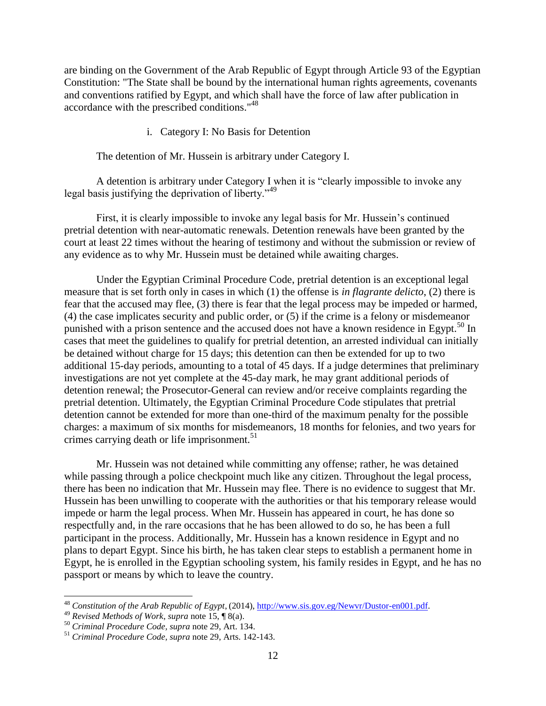are binding on the Government of the Arab Republic of Egypt through Article 93 of the Egyptian Constitution: "The State shall be bound by the international human rights agreements, covenants and conventions ratified by Egypt, and which shall have the force of law after publication in accordance with the prescribed conditions." 48

## i. Category I: No Basis for Detention

The detention of Mr. Hussein is arbitrary under Category I.

A detention is arbitrary under Category I when it is "clearly impossible to invoke any legal basis justifying the deprivation of liberty."<sup>49</sup>

First, it is clearly impossible to invoke any legal basis for Mr. Hussein's continued pretrial detention with near-automatic renewals. Detention renewals have been granted by the court at least 22 times without the hearing of testimony and without the submission or review of any evidence as to why Mr. Hussein must be detained while awaiting charges.

Under the Egyptian Criminal Procedure Code, pretrial detention is an exceptional legal measure that is set forth only in cases in which (1) the offense is *in flagrante delicto*, (2) there is fear that the accused may flee, (3) there is fear that the legal process may be impeded or harmed, (4) the case implicates security and public order, or (5) if the crime is a felony or misdemeanor punished with a prison sentence and the accused does not have a known residence in Egypt.<sup>50</sup> In cases that meet the guidelines to qualify for pretrial detention, an arrested individual can initially be detained without charge for 15 days; this detention can then be extended for up to two additional 15-day periods, amounting to a total of 45 days. If a judge determines that preliminary investigations are not yet complete at the 45-day mark, he may grant additional periods of detention renewal; the Prosecutor-General can review and/or receive complaints regarding the pretrial detention. Ultimately, the Egyptian Criminal Procedure Code stipulates that pretrial detention cannot be extended for more than one-third of the maximum penalty for the possible charges: a maximum of six months for misdemeanors, 18 months for felonies, and two years for crimes carrying death or life imprisonment. $51$ 

Mr. Hussein was not detained while committing any offense; rather, he was detained while passing through a police checkpoint much like any citizen. Throughout the legal process, there has been no indication that Mr. Hussein may flee. There is no evidence to suggest that Mr. Hussein has been unwilling to cooperate with the authorities or that his temporary release would impede or harm the legal process. When Mr. Hussein has appeared in court, he has done so respectfully and, in the rare occasions that he has been allowed to do so, he has been a full participant in the process. Additionally, Mr. Hussein has a known residence in Egypt and no plans to depart Egypt. Since his birth, he has taken clear steps to establish a permanent home in Egypt, he is enrolled in the Egyptian schooling system, his family resides in Egypt, and he has no passport or means by which to leave the country.

<sup>48</sup> *Constitution of the Arab Republic of Egypt*, (2014), [http://www.sis.gov.eg/Newvr/Dustor-en001.pdf.](http://www.sis.gov.eg/Newvr/Dustor-en001.pdf)

<sup>49</sup> *Revised Methods of Work*, *supra* note 15, ¶ 8(a).

<sup>50</sup> *Criminal Procedure Code, supra* note 29, Art. 134.

<sup>51</sup> *Criminal Procedure Code, supra* note 29, Arts. 142-143.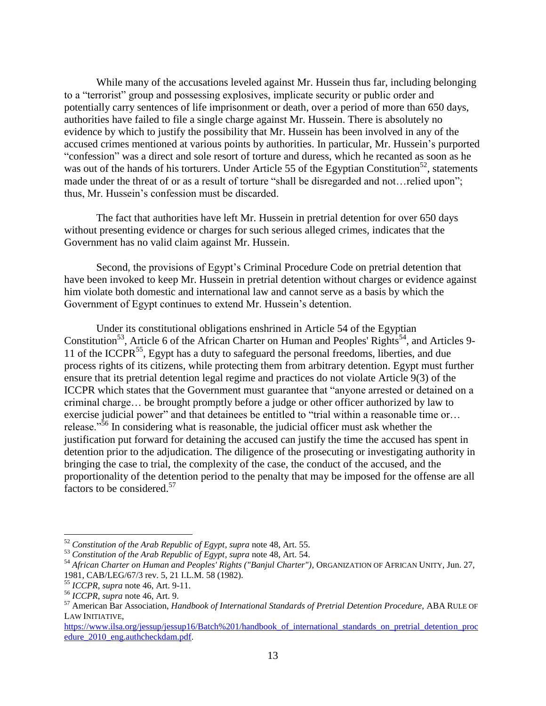While many of the accusations leveled against Mr. Hussein thus far, including belonging to a "terrorist" group and possessing explosives, implicate security or public order and potentially carry sentences of life imprisonment or death, over a period of more than 650 days, authorities have failed to file a single charge against Mr. Hussein. There is absolutely no evidence by which to justify the possibility that Mr. Hussein has been involved in any of the accused crimes mentioned at various points by authorities. In particular, Mr. Hussein's purported "confession" was a direct and sole resort of torture and duress, which he recanted as soon as he was out of the hands of his torturers. Under Article 55 of the Egyptian Constitution<sup>52</sup>, statements made under the threat of or as a result of torture "shall be disregarded and not... relied upon"; thus, Mr. Hussein's confession must be discarded.

The fact that authorities have left Mr. Hussein in pretrial detention for over 650 days without presenting evidence or charges for such serious alleged crimes, indicates that the Government has no valid claim against Mr. Hussein.

Second, the provisions of Egypt's Criminal Procedure Code on pretrial detention that have been invoked to keep Mr. Hussein in pretrial detention without charges or evidence against him violate both domestic and international law and cannot serve as a basis by which the Government of Egypt continues to extend Mr. Hussein's detention.

Under its constitutional obligations enshrined in Article 54 of the Egyptian Constitution<sup>53</sup>, Article 6 of the African Charter on Human and Peoples' Rights<sup>54</sup>, and Articles 9-11 of the ICCPR<sup>55</sup>, Egypt has a duty to safeguard the personal freedoms, liberties, and due process rights of its citizens, while protecting them from arbitrary detention. Egypt must further ensure that its pretrial detention legal regime and practices do not violate Article 9(3) of the ICCPR which states that the Government must guarantee that "anyone arrested or detained on a criminal charge… be brought promptly before a judge or other officer authorized by law to exercise judicial power" and that detainees be entitled to "trial within a reasonable time or... release."<sup>56</sup> In considering what is reasonable, the judicial officer must ask whether the justification put forward for detaining the accused can justify the time the accused has spent in detention prior to the adjudication. The diligence of the prosecuting or investigating authority in bringing the case to trial, the complexity of the case, the conduct of the accused, and the proportionality of the detention period to the penalty that may be imposed for the offense are all factors to be considered.<sup>57</sup>

<sup>52</sup> *Constitution of the Arab Republic of Egypt, supra* note 48, Art. 55.

<sup>53</sup> *Constitution of the Arab Republic of Egypt, supra* note 48, Art. 54.

<sup>54</sup> *African Charter on Human and Peoples' Rights ("Banjul Charter")*, ORGANIZATION OF AFRICAN UNITY, Jun. 27, 1981, CAB/LEG/67/3 rev. 5, 21 I.L.M. 58 (1982).

<sup>55</sup> *ICCPR*, *supra* note 46, Art. 9-11.

<sup>56</sup> *ICCPR*, *supra* note 46, Art. 9.

<sup>57</sup> American Bar Association, *Handbook of International Standards of Pretrial Detention Procedure,* ABA RULE OF LAW INITIATIVE,

https://www.ilsa.org/jessup/jessup16/Batch%201/handbook of international standards on pretrial detention proc edure 2010 eng.authcheckdam.pdf.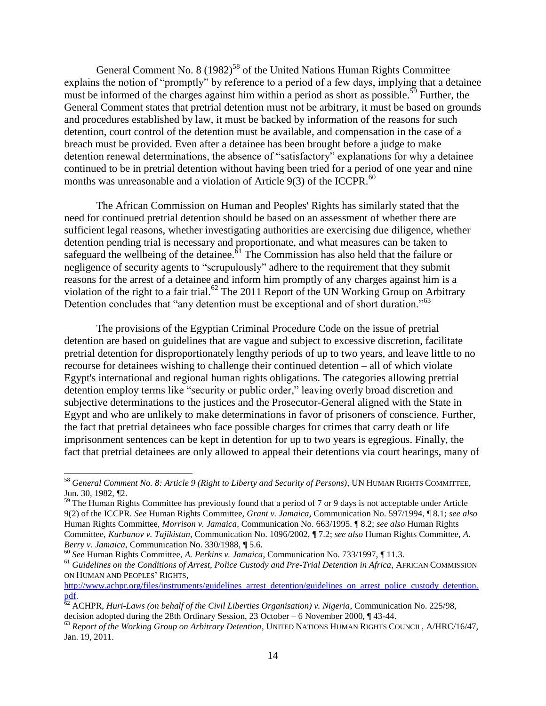General Comment No.  $8(1982)^{58}$  of the United Nations Human Rights Committee explains the notion of "promptly" by reference to a period of a few days, implying that a detainee must be informed of the charges against him within a period as short as possible.<sup>59</sup> Further, the General Comment states that pretrial detention must not be arbitrary, it must be based on grounds and procedures established by law, it must be backed by information of the reasons for such detention, court control of the detention must be available, and compensation in the case of a breach must be provided. Even after a detainee has been brought before a judge to make detention renewal determinations, the absence of "satisfactory" explanations for why a detainee continued to be in pretrial detention without having been tried for a period of one year and nine months was unreasonable and a violation of Article  $9(3)$  of the ICCPR.<sup>60</sup>

The African Commission on Human and Peoples' Rights has similarly stated that the need for continued pretrial detention should be based on an assessment of whether there are sufficient legal reasons, whether investigating authorities are exercising due diligence, whether detention pending trial is necessary and proportionate, and what measures can be taken to safeguard the wellbeing of the detainee.<sup> $61$ </sup> The Commission has also held that the failure or negligence of security agents to "scrupulously" adhere to the requirement that they submit reasons for the arrest of a detainee and inform him promptly of any charges against him is a violation of the right to a fair trial.<sup>62</sup> The 2011 Report of the UN Working Group on Arbitrary Detention concludes that "any detention must be exceptional and of short duration."<sup>63</sup>

The provisions of the Egyptian Criminal Procedure Code on the issue of pretrial detention are based on guidelines that are vague and subject to excessive discretion, facilitate pretrial detention for disproportionately lengthy periods of up to two years, and leave little to no recourse for detainees wishing to challenge their continued detention – all of which violate Egypt's international and regional human rights obligations. The categories allowing pretrial detention employ terms like "security or public order," leaving overly broad discretion and subjective determinations to the justices and the Prosecutor-General aligned with the State in Egypt and who are unlikely to make determinations in favor of prisoners of conscience. Further, the fact that pretrial detainees who face possible charges for crimes that carry death or life imprisonment sentences can be kept in detention for up to two years is egregious. Finally, the fact that pretrial detainees are only allowed to appeal their detentions via court hearings, many of

<sup>60</sup> *See* Human Rights Committee, *A. Perkins v. Jamaica*, Communication No. 733/1997, ¶ 11.3.

<sup>58</sup> *General Comment No. 8: Article 9 (Right to Liberty and Security of Persons)*, UN HUMAN RIGHTS COMMITTEE, Jun. 30, 1982, ¶2.

<sup>&</sup>lt;sup>59</sup> The Human Rights Committee has previously found that a period of 7 or 9 days is not acceptable under Article 9(2) of the ICCPR. *See* Human Rights Committee, *Grant v. Jamaica*, Communication No. 597/1994, ¶ 8.1; *see also* Human Rights Committee, *Morrison v. Jamaica*, Communication No. 663/1995. ¶ 8.2; *see also* Human Rights Committee, *Kurbanov v. Tajikistan*, Communication No. 1096/2002, ¶ 7.2; *see also* Human Rights Committee, *A. Berry v. Jamaica*, Communication No. 330/1988, ¶ 5.6.

<sup>61</sup> *Guidelines on the Conditions of Arrest, Police Custody and Pre-Trial Detention in Africa*, AFRICAN COMMISSION ON HUMAN AND PEOPLES' RIGHTS,

[http://www.achpr.org/files/instruments/guidelines\\_arrest\\_detention/guidelines\\_on\\_arrest\\_police\\_custody\\_detention.](http://www.achpr.org/files/instruments/guidelines_arrest_detention/guidelines_on_arrest_police_custody_detention.pdf) [pdf.](http://www.achpr.org/files/instruments/guidelines_arrest_detention/guidelines_on_arrest_police_custody_detention.pdf) 

<sup>&</sup>lt;sup>62</sup> ACHPR, *Huri-Laws (on behalf of the Civil Liberties Organisation) v. Nigeria*, Communication No. 225/98, decision adopted during the 28th Ordinary Session, 23 October – 6 November 2000, ¶ 43-44.

<sup>63</sup> *Report of the Working Group on Arbitrary Detention*, UNITED NATIONS HUMAN RIGHTS COUNCIL, A/HRC/16/47, Jan. 19, 2011.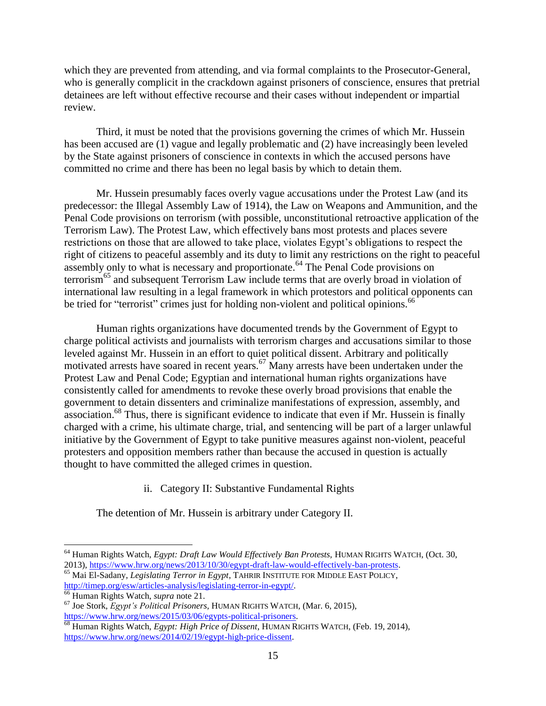which they are prevented from attending, and via formal complaints to the Prosecutor-General, who is generally complicit in the crackdown against prisoners of conscience, ensures that pretrial detainees are left without effective recourse and their cases without independent or impartial review.

Third, it must be noted that the provisions governing the crimes of which Mr. Hussein has been accused are (1) vague and legally problematic and (2) have increasingly been leveled by the State against prisoners of conscience in contexts in which the accused persons have committed no crime and there has been no legal basis by which to detain them.

Mr. Hussein presumably faces overly vague accusations under the Protest Law (and its predecessor: the Illegal Assembly Law of 1914), the Law on Weapons and Ammunition, and the Penal Code provisions on terrorism (with possible, unconstitutional retroactive application of the Terrorism Law). The Protest Law, which effectively bans most protests and places severe restrictions on those that are allowed to take place, violates Egypt's obligations to respect the right of citizens to peaceful assembly and its duty to limit any restrictions on the right to peaceful assembly only to what is necessary and proportionate.<sup>64</sup> The Penal Code provisions on terrorism<sup>65</sup> and subsequent Terrorism Law include terms that are overly broad in violation of international law resulting in a legal framework in which protestors and political opponents can be tried for "terrorist" crimes just for holding non-violent and political opinions.<sup>66</sup>

Human rights organizations have documented trends by the Government of Egypt to charge political activists and journalists with terrorism charges and accusations similar to those leveled against Mr. Hussein in an effort to quiet political dissent. Arbitrary and politically motivated arrests have soared in recent years. <sup>67</sup> Many arrests have been undertaken under the Protest Law and Penal Code; Egyptian and international human rights organizations have consistently called for amendments to revoke these overly broad provisions that enable the government to detain dissenters and criminalize manifestations of expression, assembly, and association.<sup>68</sup> Thus, there is significant evidence to indicate that even if Mr. Hussein is finally charged with a crime, his ultimate charge, trial, and sentencing will be part of a larger unlawful initiative by the Government of Egypt to take punitive measures against non-violent, peaceful protesters and opposition members rather than because the accused in question is actually thought to have committed the alleged crimes in question.

ii. Category II: Substantive Fundamental Rights

The detention of Mr. Hussein is arbitrary under Category II.

<sup>64</sup> Human Rights Watch, *Egypt: Draft Law Would Effectively Ban Protests,* HUMAN RIGHTS WATCH, (Oct. 30, 2013), [https://www.hrw.org/news/2013/10/30/egypt-draft-law-would-effectively-ban-protests.](https://www.hrw.org/news/2013/10/30/egypt-draft-law-would-effectively-ban-protests)

<sup>65</sup> Mai El-Sadany, *Legislating Terror in Egypt*, TAHRIR INSTITUTE FOR MIDDLE EAST POLICY, [http://timep.org/esw/articles-analysis/legislating-terror-in-egypt/.](http://timep.org/esw/articles-analysis/legislating-terror-in-egypt/) 

<sup>66</sup> Human Rights Watch, *supra* note 21.

<sup>67</sup> Joe Stork, *Egypt's Political Prisoners,* HUMAN RIGHTS WATCH, (Mar. 6, 2015), [https://www.hrw.org/news/2015/03/06/egypts-political-prisoners.](https://www.hrw.org/news/2015/03/06/egypts-political-prisoners)

<sup>68</sup> Human Rights Watch, *Egypt: High Price of Dissent*, HUMAN RIGHTS WATCH, (Feb. 19, 2014), [https://www.hrw.org/news/2014/02/19/egypt-high-price-dissent.](https://www.hrw.org/news/2014/02/19/egypt-high-price-dissent)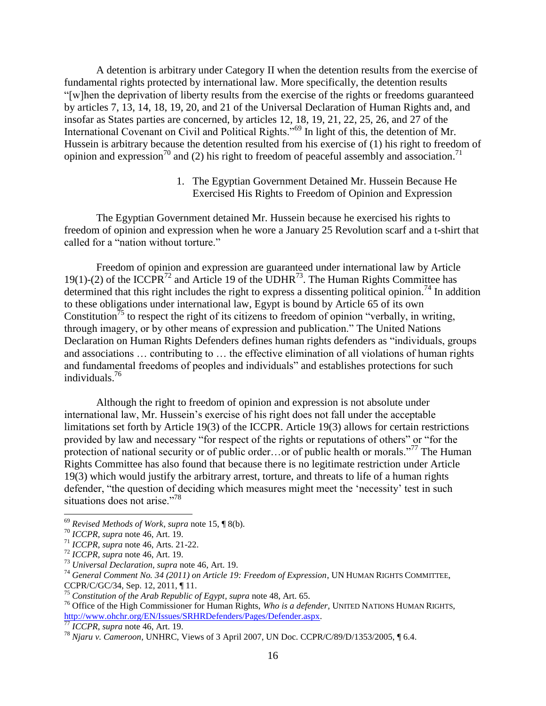A detention is arbitrary under Category II when the detention results from the exercise of fundamental rights protected by international law. More specifically, the detention results "[w]hen the deprivation of liberty results from the exercise of the rights or freedoms guaranteed by articles 7, 13, 14, 18, 19, 20, and 21 of the Universal Declaration of Human Rights and, and insofar as States parties are concerned, by articles 12, 18, 19, 21, 22, 25, 26, and 27 of the International Covenant on Civil and Political Rights."<sup>69</sup> In light of this, the detention of Mr. Hussein is arbitrary because the detention resulted from his exercise of (1) his right to freedom of opinion and expression<sup>70</sup> and (2) his right to freedom of peaceful assembly and association.<sup>71</sup>

> 1. The Egyptian Government Detained Mr. Hussein Because He Exercised His Rights to Freedom of Opinion and Expression

The Egyptian Government detained Mr. Hussein because he exercised his rights to freedom of opinion and expression when he wore a January 25 Revolution scarf and a t-shirt that called for a "nation without torture."

Freedom of opinion and expression are guaranteed under international law by Article 19(1)-(2) of the ICCPR<sup>72</sup> and Article 19 of the UDHR<sup>73</sup>. The Human Rights Committee has determined that this right includes the right to express a dissenting political opinion.<sup>74</sup> In addition to these obligations under international law, Egypt is bound by Article 65 of its own Constitution<sup>75</sup> to respect the right of its citizens to freedom of opinion "verbally, in writing, through imagery, or by other means of expression and publication." The United Nations Declaration on Human Rights Defenders defines human rights defenders as "individuals, groups and associations … contributing to … the effective elimination of all violations of human rights and fundamental freedoms of peoples and individuals" and establishes protections for such individuals.<sup>76</sup>

Although the right to freedom of opinion and expression is not absolute under international law, Mr. Hussein's exercise of his right does not fall under the acceptable limitations set forth by Article 19(3) of the ICCPR. Article 19(3) allows for certain restrictions provided by law and necessary "for respect of the rights or reputations of others" or "for the protection of national security or of public order...or of public health or morals."<sup>77</sup> The Human Rights Committee has also found that because there is no legitimate restriction under Article 19(3) which would justify the arbitrary arrest, torture, and threats to life of a human rights defender, "the question of deciding which measures might meet the 'necessity' test in such situations does not arise."<sup>78</sup>

<sup>69</sup> *Revised Methods of Work*, *supra* note 15, ¶ 8(b).

<sup>70</sup> *ICCPR*, *supra* note 46, Art. 19.

<sup>71</sup> *ICCPR*, *supra* note 46, Arts. 21-22.

<sup>72</sup> *ICCPR*, *supra* note 46, Art. 19.

<sup>73</sup> *Universal Declaration, supra* note 46, Art. 19.

<sup>74</sup> *General Comment No. 34 (2011) on Article 19: Freedom of Expression*, UN HUMAN RIGHTS COMMITTEE,

CCPR/C/GC/34, Sep. 12, 2011, ¶ 11.

<sup>75</sup> *Constitution of the Arab Republic of Egypt, supra* note 48, Art. 65.

<sup>76</sup> Office of the High Commissioner for Human Rights, *Who is a defender,* UNITED NATIONS HUMAN RIGHTS, [http://www.ohchr.org/EN/Issues/SRHRDefenders/Pages/Defender.aspx.](http://www.ohchr.org/EN/Issues/SRHRDefenders/Pages/Defender.aspx)

<sup>77</sup> *ICCPR*, *supra* note 46, Art. 19.

<sup>78</sup> *Njaru v. Cameroon*, UNHRC, Views of 3 April 2007, UN Doc. CCPR/C/89/D/1353/2005, ¶ 6.4.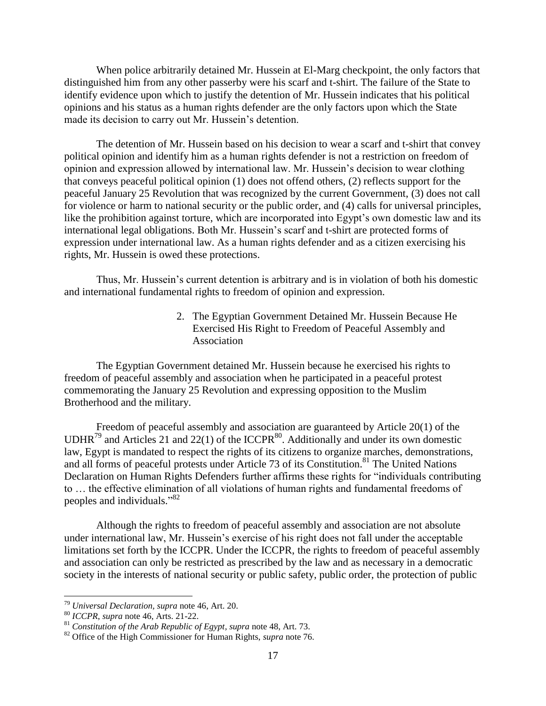When police arbitrarily detained Mr. Hussein at El-Marg checkpoint, the only factors that distinguished him from any other passerby were his scarf and t-shirt. The failure of the State to identify evidence upon which to justify the detention of Mr. Hussein indicates that his political opinions and his status as a human rights defender are the only factors upon which the State made its decision to carry out Mr. Hussein's detention.

The detention of Mr. Hussein based on his decision to wear a scarf and t-shirt that convey political opinion and identify him as a human rights defender is not a restriction on freedom of opinion and expression allowed by international law. Mr. Hussein's decision to wear clothing that conveys peaceful political opinion (1) does not offend others, (2) reflects support for the peaceful January 25 Revolution that was recognized by the current Government, (3) does not call for violence or harm to national security or the public order, and (4) calls for universal principles, like the prohibition against torture, which are incorporated into Egypt's own domestic law and its international legal obligations. Both Mr. Hussein's scarf and t-shirt are protected forms of expression under international law. As a human rights defender and as a citizen exercising his rights, Mr. Hussein is owed these protections.

Thus, Mr. Hussein's current detention is arbitrary and is in violation of both his domestic and international fundamental rights to freedom of opinion and expression.

> 2. The Egyptian Government Detained Mr. Hussein Because He Exercised His Right to Freedom of Peaceful Assembly and Association

The Egyptian Government detained Mr. Hussein because he exercised his rights to freedom of peaceful assembly and association when he participated in a peaceful protest commemorating the January 25 Revolution and expressing opposition to the Muslim Brotherhood and the military.

Freedom of peaceful assembly and association are guaranteed by Article 20(1) of the UDHR<sup>79</sup> and Articles 21 and 22(1) of the ICCPR<sup>80</sup>. Additionally and under its own domestic law, Egypt is mandated to respect the rights of its citizens to organize marches, demonstrations, and all forms of peaceful protests under Article 73 of its Constitution.<sup>81</sup> The United Nations Declaration on Human Rights Defenders further affirms these rights for "individuals contributing to … the effective elimination of all violations of human rights and fundamental freedoms of peoples and individuals."<sup>82</sup>

Although the rights to freedom of peaceful assembly and association are not absolute under international law, Mr. Hussein's exercise of his right does not fall under the acceptable limitations set forth by the ICCPR. Under the ICCPR, the rights to freedom of peaceful assembly and association can only be restricted as prescribed by the law and as necessary in a democratic society in the interests of national security or public safety, public order, the protection of public

<sup>79</sup> *Universal Declaration, supra* note 46, Art. 20.

<sup>80</sup> *ICCPR*, *supra* note 46, Arts. 21-22.

<sup>81</sup> *Constitution of the Arab Republic of Egypt, supra* note 48, Art. 73.

<sup>82</sup> Office of the High Commissioner for Human Rights, *supra* note 76.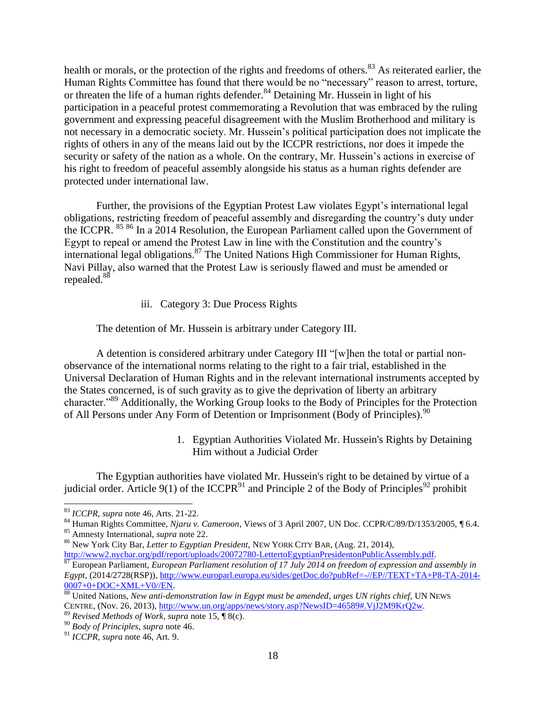health or morals, or the protection of the rights and freedoms of others.<sup>83</sup> As reiterated earlier, the Human Rights Committee has found that there would be no "necessary" reason to arrest, torture, or threaten the life of a human rights defender.<sup>84</sup> Detaining Mr. Hussein in light of his participation in a peaceful protest commemorating a Revolution that was embraced by the ruling government and expressing peaceful disagreement with the Muslim Brotherhood and military is not necessary in a democratic society. Mr. Hussein's political participation does not implicate the rights of others in any of the means laid out by the ICCPR restrictions, nor does it impede the security or safety of the nation as a whole. On the contrary, Mr. Hussein's actions in exercise of his right to freedom of peaceful assembly alongside his status as a human rights defender are protected under international law.

Further, the provisions of the Egyptian Protest Law violates Egypt's international legal obligations, restricting freedom of peaceful assembly and disregarding the country's duty under the ICCPR. <sup>85 86</sup> In a 2014 Resolution, the European Parliament called upon the Government of Egypt to repeal or amend the Protest Law in line with the Constitution and the country's international legal obligations.<sup>87</sup> The United Nations High Commissioner for Human Rights, Navi Pillay, also warned that the Protest Law is seriously flawed and must be amended or repealed.<sup>88</sup>

### iii. Category 3: Due Process Rights

The detention of Mr. Hussein is arbitrary under Category III.

A detention is considered arbitrary under Category III "[w]hen the total or partial nonobservance of the international norms relating to the right to a fair trial, established in the Universal Declaration of Human Rights and in the relevant international instruments accepted by the States concerned, is of such gravity as to give the deprivation of liberty an arbitrary character."<sup>89</sup> Additionally, the Working Group looks to the Body of Principles for the Protection of All Persons under Any Form of Detention or Imprisonment (Body of Principles).<sup>90</sup>

> 1. Egyptian Authorities Violated Mr. Hussein's Rights by Detaining Him without a Judicial Order

The Egyptian authorities have violated Mr. Hussein's right to be detained by virtue of a judicial order. Article 9(1) of the ICCPR $91$  and Principle 2 of the Body of Principles $92$  prohibit

 $\overline{a}$ 

<sup>84</sup> Human Rights Committee, *Njaru v. Cameroon*, Views of 3 April 2007, UN Doc. CCPR/C/89/D/1353/2005, ¶ 6.4. <sup>85</sup> Amnesty International, *supra* note 22.

<sup>83</sup> *ICCPR*, *supra* note 46, Arts. 21-22.

<sup>86</sup> New York City Bar, *Letter to Egyptian President,* NEW YORK CITY BAR, (Aug. 21, 2014), [http://www2.nycbar.org/pdf/report/uploads/20072780-LettertoEgyptianPresidentonPublicAssembly.pdf.](http://www2.nycbar.org/pdf/report/uploads/20072780-LettertoEgyptianPresidentonPublicAssembly.pdf)

<sup>87</sup> European Parliament, *European Parliament resolution of 17 July 2014 on freedom of expression and assembly in Egypt*, (2014/2728(RSP)), [http://www.europarl.europa.eu/sides/getDoc.do?pubRef=-//EP//TEXT+TA+P8-TA-2014-](http://www.europarl.europa.eu/sides/getDoc.do?pubRef=-//EP//TEXT+TA+P8-TA-2014-0007+0+DOC+XML+V0//EN) [0007+0+DOC+XML+V0//EN.](http://www.europarl.europa.eu/sides/getDoc.do?pubRef=-//EP//TEXT+TA+P8-TA-2014-0007+0+DOC+XML+V0//EN)

<sup>88</sup> United Nations, *New anti-demonstration law in Egypt must be amended*, *urges UN rights chief*, UN NEWS CENTRE, (Nov. 26, 2013), [http://www.un.org/apps/news/story.asp?NewsID=46589#.VjJ2M9KrQ2w.](http://www.un.org/apps/news/story.asp?NewsID=46589#.VjJ2M9KrQ2w)

<sup>89</sup> *Revised Methods of Work*, *supra* note 15, ¶ 8(c).

<sup>90</sup> *Body of Principles*, *supra* note 46.

<sup>91</sup> *ICCPR*, *supra* note 46, Art. 9.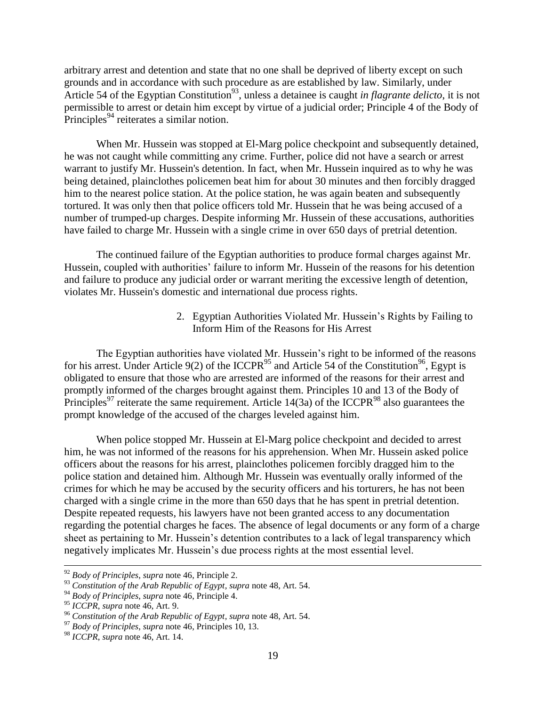arbitrary arrest and detention and state that no one shall be deprived of liberty except on such grounds and in accordance with such procedure as are established by law. Similarly, under Article 54 of the Egyptian Constitution<sup>93</sup>, unless a detainee is caught *in flagrante delicto*, it is not permissible to arrest or detain him except by virtue of a judicial order; Principle 4 of the Body of Principles<sup>94</sup> reiterates a similar notion.

When Mr. Hussein was stopped at El-Marg police checkpoint and subsequently detained, he was not caught while committing any crime. Further, police did not have a search or arrest warrant to justify Mr. Hussein's detention. In fact, when Mr. Hussein inquired as to why he was being detained, plainclothes policemen beat him for about 30 minutes and then forcibly dragged him to the nearest police station. At the police station, he was again beaten and subsequently tortured. It was only then that police officers told Mr. Hussein that he was being accused of a number of trumped-up charges. Despite informing Mr. Hussein of these accusations, authorities have failed to charge Mr. Hussein with a single crime in over 650 days of pretrial detention.

The continued failure of the Egyptian authorities to produce formal charges against Mr. Hussein, coupled with authorities' failure to inform Mr. Hussein of the reasons for his detention and failure to produce any judicial order or warrant meriting the excessive length of detention, violates Mr. Hussein's domestic and international due process rights.

> 2. Egyptian Authorities Violated Mr. Hussein's Rights by Failing to Inform Him of the Reasons for His Arrest

The Egyptian authorities have violated Mr. Hussein's right to be informed of the reasons for his arrest. Under Article 9(2) of the ICCPR<sup>95</sup> and Article 54 of the Constitution<sup>96</sup>, Egypt is obligated to ensure that those who are arrested are informed of the reasons for their arrest and promptly informed of the charges brought against them. Principles 10 and 13 of the Body of Principles<sup>97</sup> reiterate the same requirement. Article 14(3a) of the ICCPR<sup>98</sup> also guarantees the prompt knowledge of the accused of the charges leveled against him.

When police stopped Mr. Hussein at El-Marg police checkpoint and decided to arrest him, he was not informed of the reasons for his apprehension. When Mr. Hussein asked police officers about the reasons for his arrest, plainclothes policemen forcibly dragged him to the police station and detained him. Although Mr. Hussein was eventually orally informed of the crimes for which he may be accused by the security officers and his torturers, he has not been charged with a single crime in the more than 650 days that he has spent in pretrial detention. Despite repeated requests, his lawyers have not been granted access to any documentation regarding the potential charges he faces. The absence of legal documents or any form of a charge sheet as pertaining to Mr. Hussein's detention contributes to a lack of legal transparency which negatively implicates Mr. Hussein's due process rights at the most essential level.

<sup>92</sup> *Body of Principles*, *supra* note 46, Principle 2.

<sup>&</sup>lt;sup>93</sup> Constitution of the Arab Republic of Egypt, supra note 48, Art. 54.

<sup>94</sup> *Body of Principles*, *supra* note 46, Principle 4.

<sup>95</sup> *ICCPR*, *supra* note 46, Art. 9.

<sup>96</sup> *Constitution of the Arab Republic of Egypt, supra* note 48, Art. 54.

<sup>97</sup> *Body of Principles*, *supra* note 46, Principles 10, 13.

<sup>98</sup> *ICCPR*, *supra* note 46, Art. 14.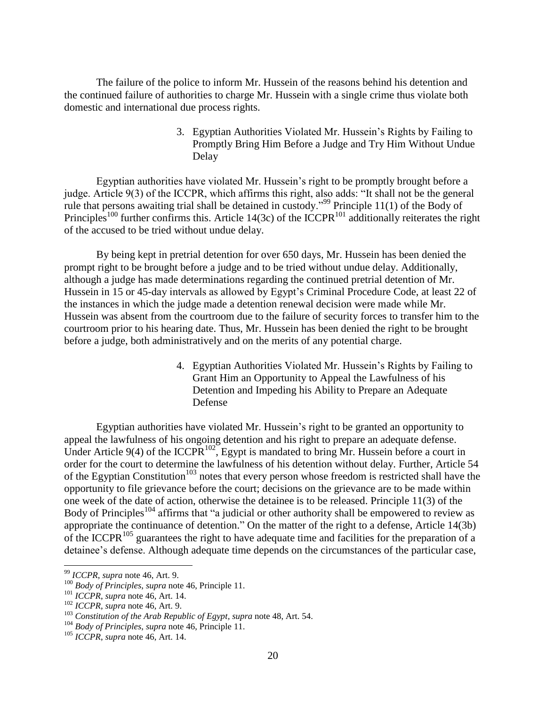The failure of the police to inform Mr. Hussein of the reasons behind his detention and the continued failure of authorities to charge Mr. Hussein with a single crime thus violate both domestic and international due process rights.

> 3. Egyptian Authorities Violated Mr. Hussein's Rights by Failing to Promptly Bring Him Before a Judge and Try Him Without Undue Delay

Egyptian authorities have violated Mr. Hussein's right to be promptly brought before a judge. Article 9(3) of the ICCPR, which affirms this right, also adds: "It shall not be the general rule that persons awaiting trial shall be detained in custody."<sup>99</sup> Principle 11(1) of the Body of Principles<sup>100</sup> further confirms this. Article 14(3c) of the ICCPR<sup>101</sup> additionally reiterates the right of the accused to be tried without undue delay.

By being kept in pretrial detention for over 650 days, Mr. Hussein has been denied the prompt right to be brought before a judge and to be tried without undue delay. Additionally, although a judge has made determinations regarding the continued pretrial detention of Mr. Hussein in 15 or 45-day intervals as allowed by Egypt's Criminal Procedure Code, at least 22 of the instances in which the judge made a detention renewal decision were made while Mr. Hussein was absent from the courtroom due to the failure of security forces to transfer him to the courtroom prior to his hearing date. Thus, Mr. Hussein has been denied the right to be brought before a judge, both administratively and on the merits of any potential charge.

> 4. Egyptian Authorities Violated Mr. Hussein's Rights by Failing to Grant Him an Opportunity to Appeal the Lawfulness of his Detention and Impeding his Ability to Prepare an Adequate Defense

Egyptian authorities have violated Mr. Hussein's right to be granted an opportunity to appeal the lawfulness of his ongoing detention and his right to prepare an adequate defense. Under Article 9(4) of the ICCPR<sup>102</sup>, Egypt is mandated to bring Mr. Hussein before a court in order for the court to determine the lawfulness of his detention without delay. Further, Article 54 of the Egyptian Constitution<sup>103</sup> notes that every person whose freedom is restricted shall have the opportunity to file grievance before the court; decisions on the grievance are to be made within one week of the date of action, otherwise the detainee is to be released. Principle 11(3) of the Body of Principles<sup>104</sup> affirms that "a judicial or other authority shall be empowered to review as appropriate the continuance of detention." On the matter of the right to a defense, Article 14(3b) of the ICCPR<sup>105</sup> guarantees the right to have adequate time and facilities for the preparation of a detainee's defense. Although adequate time depends on the circumstances of the particular case,

<sup>99</sup> *ICCPR*, *supra* note 46, Art. 9.

<sup>100</sup> *Body of Principles*, *supra* note 46, Principle 11.

<sup>101</sup> *ICCPR*, *supra* note 46, Art. 14.

<sup>102</sup> *ICCPR*, *supra* note 46, Art. 9.

<sup>&</sup>lt;sup>103</sup> Constitution of the Arab Republic of Egypt, supra note 48, Art. 54.

<sup>104</sup> *Body of Principles*, *supra* note 46, Principle 11.

<sup>105</sup> *ICCPR*, *supra* note 46, Art. 14.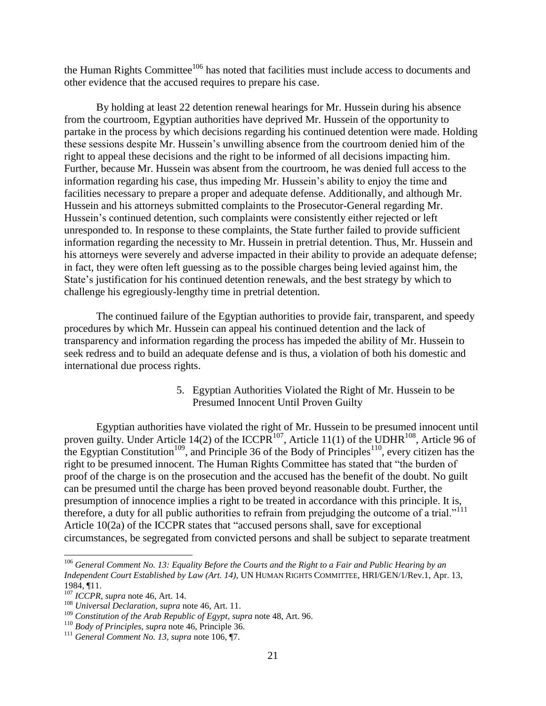the Human Rights Committee<sup>106</sup> has noted that facilities must include access to documents and other evidence that the accused requires to prepare his case.

By holding at least 22 detention renewal hearings for Mr. Hussein during his absence from the courtroom, Egyptian authorities have deprived Mr. Hussein of the opportunity to partake in the process by which decisions regarding his continued detention were made. Holding these sessions despite Mr. Hussein's unwilling absence from the courtroom denied him of the right to appeal these decisions and the right to be informed of all decisions impacting him. Further, because Mr. Hussein was absent from the courtroom, he was denied full access to the information regarding his case, thus impeding Mr. Hussein's ability to enjoy the time and facilities necessary to prepare a proper and adequate defense. Additionally, and although Mr. Hussein and his attorneys submitted complaints to the Prosecutor-General regarding Mr. Hussein's continued detention, such complaints were consistently either rejected or left unresponded to. In response to these complaints, the State further failed to provide sufficient information regarding the necessity to Mr. Hussein in pretrial detention. Thus, Mr. Hussein and his attorneys were severely and adverse impacted in their ability to provide an adequate defense; in fact, they were often left guessing as to the possible charges being levied against him, the State's justification for his continued detention renewals, and the best strategy by which to challenge his egregiously-lengthy time in pretrial detention.

The continued failure of the Egyptian authorities to provide fair, transparent, and speedy procedures by which Mr. Hussein can appeal his continued detention and the lack of transparency and information regarding the process has impeded the ability of Mr. Hussein to seek redress and to build an adequate defense and is thus, a violation of both his domestic and international due process rights.

> 5. Egyptian Authorities Violated the Right of Mr. Hussein to be Presumed Innocent Until Proven Guilty

Egyptian authorities have violated the right of Mr. Hussein to be presumed innocent until proven guilty. Under Article 14(2) of the ICCPR<sup>107</sup>, Article 11(1) of the UDHR<sup>108</sup>, Article 96 of the Egyptian Constitution<sup>109</sup>, and Principle 36 of the Body of Principles<sup>110</sup>, every citizen has the right to be presumed innocent. The Human Rights Committee has stated that "the burden of proof of the charge is on the prosecution and the accused has the benefit of the doubt. No guilt can be presumed until the charge has been proved beyond reasonable doubt. Further, the presumption of innocence implies a right to be treated in accordance with this principle. It is, therefore, a duty for all public authorities to refrain from prejudging the outcome of a trial."<sup>111</sup> Article 10(2a) of the ICCPR states that "accused persons shall, save for exceptional circumstances, be segregated from convicted persons and shall be subject to separate treatment

<sup>106</sup> *General Comment No. 13: Equality Before the Courts and the Right to a Fair and Public Hearing by an Independent Court Established by Law (Art. 14)*, UN HUMAN RIGHTS COMMITTEE, HRI/GEN/1/Rev.1, Apr. 13, 1984, ¶11.

<sup>107</sup> *ICCPR*, *supra* note 46, Art. 14.

<sup>108</sup> *Universal Declaration, supra* note 46, Art. 11.

<sup>&</sup>lt;sup>109</sup> Constitution of the Arab Republic of Egypt, supra note 48, Art. 96.

<sup>110</sup> *Body of Principles*, *supra* note 46, Principle 36.

<sup>111</sup> *General Comment No. 13, supra* note 106, ¶7.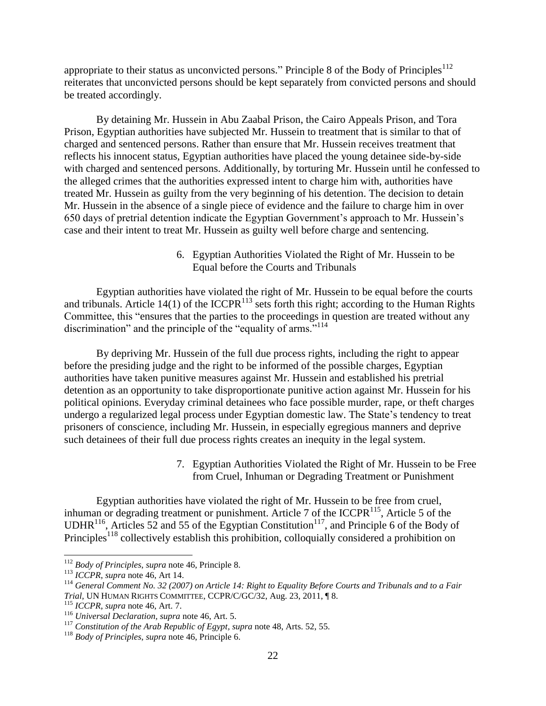appropriate to their status as unconvicted persons." Principle 8 of the Body of Principles<sup>112</sup> reiterates that unconvicted persons should be kept separately from convicted persons and should be treated accordingly.

By detaining Mr. Hussein in Abu Zaabal Prison, the Cairo Appeals Prison, and Tora Prison, Egyptian authorities have subjected Mr. Hussein to treatment that is similar to that of charged and sentenced persons. Rather than ensure that Mr. Hussein receives treatment that reflects his innocent status, Egyptian authorities have placed the young detainee side-by-side with charged and sentenced persons. Additionally, by torturing Mr. Hussein until he confessed to the alleged crimes that the authorities expressed intent to charge him with, authorities have treated Mr. Hussein as guilty from the very beginning of his detention. The decision to detain Mr. Hussein in the absence of a single piece of evidence and the failure to charge him in over 650 days of pretrial detention indicate the Egyptian Government's approach to Mr. Hussein's case and their intent to treat Mr. Hussein as guilty well before charge and sentencing.

> 6. Egyptian Authorities Violated the Right of Mr. Hussein to be Equal before the Courts and Tribunals

Egyptian authorities have violated the right of Mr. Hussein to be equal before the courts and tribunals. Article 14(1) of the ICCPR<sup>113</sup> sets forth this right; according to the Human Rights Committee, this "ensures that the parties to the proceedings in question are treated without any discrimination" and the principle of the "equality of arms."<sup>114</sup>

By depriving Mr. Hussein of the full due process rights, including the right to appear before the presiding judge and the right to be informed of the possible charges, Egyptian authorities have taken punitive measures against Mr. Hussein and established his pretrial detention as an opportunity to take disproportionate punitive action against Mr. Hussein for his political opinions. Everyday criminal detainees who face possible murder, rape, or theft charges undergo a regularized legal process under Egyptian domestic law. The State's tendency to treat prisoners of conscience, including Mr. Hussein, in especially egregious manners and deprive such detainees of their full due process rights creates an inequity in the legal system.

> 7. Egyptian Authorities Violated the Right of Mr. Hussein to be Free from Cruel, Inhuman or Degrading Treatment or Punishment

Egyptian authorities have violated the right of Mr. Hussein to be free from cruel, inhuman or degrading treatment or punishment. Article 7 of the ICCPR $^{115}$ , Article 5 of the UDHR<sup>116</sup>, Articles 52 and 55 of the Egyptian Constitution<sup>117</sup>, and Principle 6 of the Body of Principles<sup>118</sup> collectively establish this prohibition, colloquially considered a prohibition on

<sup>112</sup> *Body of Principles*, *supra* note 46, Principle 8.

<sup>113</sup> *ICCPR*, *supra* note 46, Art 14.

<sup>114</sup> *General Comment No. 32 (2007) on Article 14: Right to Equality Before Courts and Tribunals and to a Fair Trial,* UN HUMAN RIGHTS COMMITTEE, CCPR/C/GC/32, Aug. 23, 2011, ¶ 8.

<sup>115</sup> *ICCPR*, *supra* note 46, Art. 7.

<sup>116</sup> *Universal Declaration, supra* note 46, Art. 5.

<sup>&</sup>lt;sup>117</sup> Constitution of the Arab Republic of Egypt, supra note 48, Arts. 52, 55.

<sup>118</sup> *Body of Principles*, *supra* note 46, Principle 6.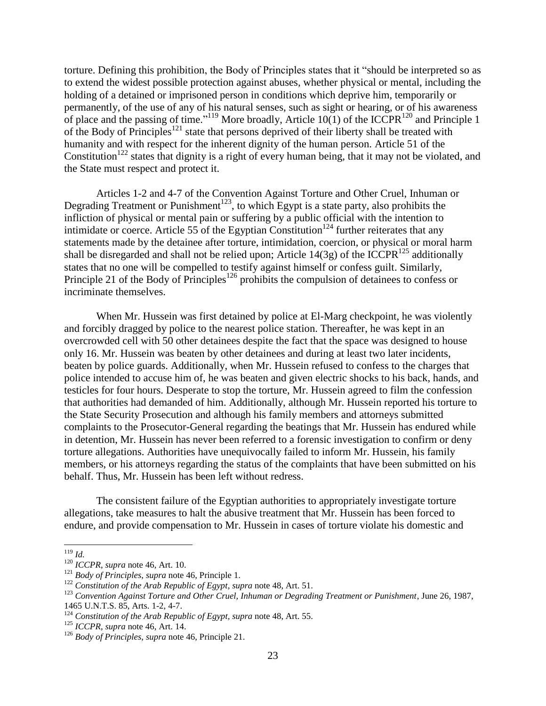torture. Defining this prohibition, the Body of Principles states that it "should be interpreted so as to extend the widest possible protection against abuses, whether physical or mental, including the holding of a detained or imprisoned person in conditions which deprive him, temporarily or permanently, of the use of any of his natural senses, such as sight or hearing, or of his awareness of place and the passing of time."<sup>119</sup> More broadly, Article 10(1) of the ICCPR<sup>120</sup> and Principle 1 of the Body of Principles<sup>121</sup> state that persons deprived of their liberty shall be treated with humanity and with respect for the inherent dignity of the human person. Article 51 of the Constitution<sup>122</sup> states that dignity is a right of every human being, that it may not be violated, and the State must respect and protect it.

Articles 1-2 and 4-7 of the Convention Against Torture and Other Cruel, Inhuman or Degrading Treatment or Punishment<sup>123</sup>, to which Egypt is a state party, also prohibits the infliction of physical or mental pain or suffering by a public official with the intention to intimidate or coerce. Article 55 of the Egyptian Constitution<sup>124</sup> further reiterates that any statements made by the detainee after torture, intimidation, coercion, or physical or moral harm shall be disregarded and shall not be relied upon; Article 14(3g) of the ICCPR<sup>125</sup> additionally states that no one will be compelled to testify against himself or confess guilt. Similarly, Principle 21 of the Body of Principles<sup>126</sup> prohibits the compulsion of detainees to confess or incriminate themselves.

When Mr. Hussein was first detained by police at El-Marg checkpoint, he was violently and forcibly dragged by police to the nearest police station. Thereafter, he was kept in an overcrowded cell with 50 other detainees despite the fact that the space was designed to house only 16. Mr. Hussein was beaten by other detainees and during at least two later incidents, beaten by police guards. Additionally, when Mr. Hussein refused to confess to the charges that police intended to accuse him of, he was beaten and given electric shocks to his back, hands, and testicles for four hours. Desperate to stop the torture, Mr. Hussein agreed to film the confession that authorities had demanded of him. Additionally, although Mr. Hussein reported his torture to the State Security Prosecution and although his family members and attorneys submitted complaints to the Prosecutor-General regarding the beatings that Mr. Hussein has endured while in detention, Mr. Hussein has never been referred to a forensic investigation to confirm or deny torture allegations. Authorities have unequivocally failed to inform Mr. Hussein, his family members, or his attorneys regarding the status of the complaints that have been submitted on his behalf. Thus, Mr. Hussein has been left without redress.

The consistent failure of the Egyptian authorities to appropriately investigate torture allegations, take measures to halt the abusive treatment that Mr. Hussein has been forced to endure, and provide compensation to Mr. Hussein in cases of torture violate his domestic and

l <sup>119</sup> *Id.*

<sup>120</sup> *ICCPR*, *supra* note 46, Art. 10.

<sup>121</sup> *Body of Principles*, *supra* note 46, Principle 1.

<sup>&</sup>lt;sup>122</sup> Constitution of the Arab Republic of Egypt, supra note 48, Art. 51.

<sup>123</sup> *Convention Against Torture and Other Cruel, Inhuman or Degrading Treatment or Punishment*, June 26, 1987, 1465 U.N.T.S. 85, Arts. 1-2, 4-7.

<sup>&</sup>lt;sup>124</sup> Constitution of the Arab Republic of Egypt, supra note 48, Art. 55.

<sup>125</sup> *ICCPR*, *supra* note 46, Art. 14.

<sup>126</sup> *Body of Principles*, *supra* note 46, Principle 21.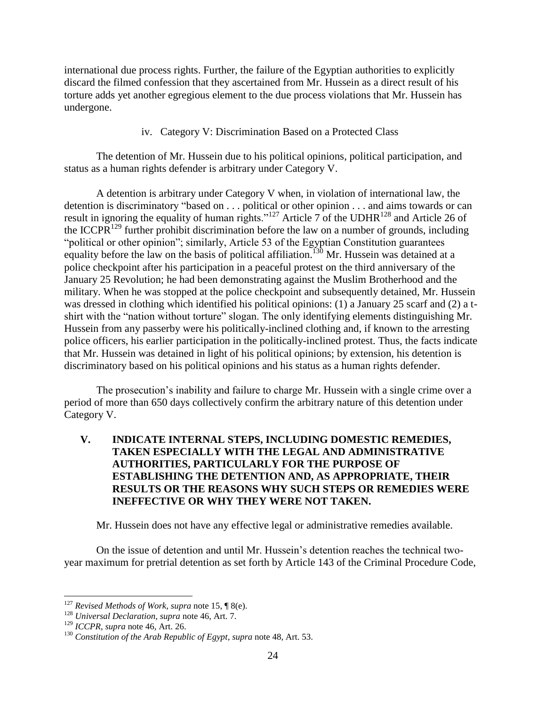international due process rights. Further, the failure of the Egyptian authorities to explicitly discard the filmed confession that they ascertained from Mr. Hussein as a direct result of his torture adds yet another egregious element to the due process violations that Mr. Hussein has undergone.

## iv. Category V: Discrimination Based on a Protected Class

The detention of Mr. Hussein due to his political opinions, political participation, and status as a human rights defender is arbitrary under Category V.

A detention is arbitrary under Category V when, in violation of international law, the detention is discriminatory "based on . . . political or other opinion . . . and aims towards or can result in ignoring the equality of human rights."<sup>127</sup> Article 7 of the UDHR<sup>128</sup> and Article 26 of the ICCPR<sup>129</sup> further prohibit discrimination before the law on a number of grounds, including "political or other opinion"; similarly, Article 53 of the Egyptian Constitution guarantees equality before the law on the basis of political affiliation.<sup>130</sup> Mr. Hussein was detained at a police checkpoint after his participation in a peaceful protest on the third anniversary of the January 25 Revolution; he had been demonstrating against the Muslim Brotherhood and the military. When he was stopped at the police checkpoint and subsequently detained, Mr. Hussein was dressed in clothing which identified his political opinions: (1) a January 25 scarf and (2) a tshirt with the "nation without torture" slogan. The only identifying elements distinguishing Mr. Hussein from any passerby were his politically-inclined clothing and, if known to the arresting police officers, his earlier participation in the politically-inclined protest. Thus, the facts indicate that Mr. Hussein was detained in light of his political opinions; by extension, his detention is discriminatory based on his political opinions and his status as a human rights defender.

The prosecution's inability and failure to charge Mr. Hussein with a single crime over a period of more than 650 days collectively confirm the arbitrary nature of this detention under Category V.

# **V. INDICATE INTERNAL STEPS, INCLUDING DOMESTIC REMEDIES, TAKEN ESPECIALLY WITH THE LEGAL AND ADMINISTRATIVE AUTHORITIES, PARTICULARLY FOR THE PURPOSE OF ESTABLISHING THE DETENTION AND, AS APPROPRIATE, THEIR RESULTS OR THE REASONS WHY SUCH STEPS OR REMEDIES WERE INEFFECTIVE OR WHY THEY WERE NOT TAKEN.**

Mr. Hussein does not have any effective legal or administrative remedies available.

On the issue of detention and until Mr. Hussein's detention reaches the technical twoyear maximum for pretrial detention as set forth by Article 143 of the Criminal Procedure Code,

<sup>127</sup> *Revised Methods of Work*, *supra* note 15, ¶ 8(e).

<sup>128</sup> *Universal Declaration, supra* note 46, Art. 7.

<sup>129</sup> *ICCPR*, *supra* note 46, Art. 26.

<sup>&</sup>lt;sup>130</sup> Constitution of the Arab Republic of Egypt, supra note 48, Art. 53.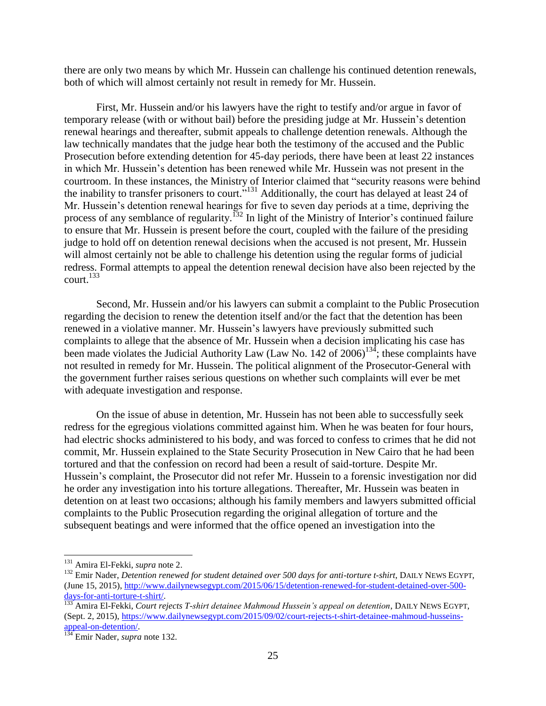there are only two means by which Mr. Hussein can challenge his continued detention renewals, both of which will almost certainly not result in remedy for Mr. Hussein.

First, Mr. Hussein and/or his lawyers have the right to testify and/or argue in favor of temporary release (with or without bail) before the presiding judge at Mr. Hussein's detention renewal hearings and thereafter, submit appeals to challenge detention renewals. Although the law technically mandates that the judge hear both the testimony of the accused and the Public Prosecution before extending detention for 45-day periods, there have been at least 22 instances in which Mr. Hussein's detention has been renewed while Mr. Hussein was not present in the courtroom. In these instances, the Ministry of Interior claimed that "security reasons were behind the inability to transfer prisoners to court."<sup>131</sup> Additionally, the court has delayed at least 24 of Mr. Hussein's detention renewal hearings for five to seven day periods at a time, depriving the process of any semblance of regularity.<sup>132</sup> In light of the Ministry of Interior's continued failure to ensure that Mr. Hussein is present before the court, coupled with the failure of the presiding judge to hold off on detention renewal decisions when the accused is not present, Mr. Hussein will almost certainly not be able to challenge his detention using the regular forms of judicial redress. Formal attempts to appeal the detention renewal decision have also been rejected by the court. $^{133}$ 

Second, Mr. Hussein and/or his lawyers can submit a complaint to the Public Prosecution regarding the decision to renew the detention itself and/or the fact that the detention has been renewed in a violative manner. Mr. Hussein's lawyers have previously submitted such complaints to allege that the absence of Mr. Hussein when a decision implicating his case has been made violates the Judicial Authority Law (Law No. 142 of 2006)<sup>134</sup>; these complaints have not resulted in remedy for Mr. Hussein. The political alignment of the Prosecutor-General with the government further raises serious questions on whether such complaints will ever be met with adequate investigation and response.

On the issue of abuse in detention, Mr. Hussein has not been able to successfully seek redress for the egregious violations committed against him. When he was beaten for four hours, had electric shocks administered to his body, and was forced to confess to crimes that he did not commit, Mr. Hussein explained to the State Security Prosecution in New Cairo that he had been tortured and that the confession on record had been a result of said-torture. Despite Mr. Hussein's complaint, the Prosecutor did not refer Mr. Hussein to a forensic investigation nor did he order any investigation into his torture allegations. Thereafter, Mr. Hussein was beaten in detention on at least two occasions; although his family members and lawyers submitted official complaints to the Public Prosecution regarding the original allegation of torture and the subsequent beatings and were informed that the office opened an investigation into the

<sup>131</sup> Amira El-Fekki, *supra* note 2.

<sup>&</sup>lt;sup>132</sup> Emir Nader, *Detention renewed for student detained over 500 days for anti-torture t-shirt*, DAILY NEWS EGYPT, (June 15, 2015)[, http://www.dailynewsegypt.com/2015/06/15/detention-renewed-for-student-detained-over-500](http://www.dailynewsegypt.com/2015/06/15/detention-renewed-for-student-detained-over-500-days-for-anti-torture-t-shirt/) [days-for-anti-torture-t-shirt/.](http://www.dailynewsegypt.com/2015/06/15/detention-renewed-for-student-detained-over-500-days-for-anti-torture-t-shirt/)

<sup>&</sup>lt;sup>133</sup> Amira El-Fekki, *Court rejects T-shirt detainee Mahmoud Hussein's appeal on detention*, DAILY NEWS EGYPT, (Sept. 2, 2015), [https://www.dailynewsegypt.com/2015/09/02/court-rejects-t-shirt-detainee-mahmoud-husseins](https://www.dailynewsegypt.com/2015/09/02/court-rejects-t-shirt-detainee-mahmoud-husseins-appeal-on-detention/)[appeal-on-detention/.](https://www.dailynewsegypt.com/2015/09/02/court-rejects-t-shirt-detainee-mahmoud-husseins-appeal-on-detention/)

<sup>134</sup> Emir Nader, *supra* note 132.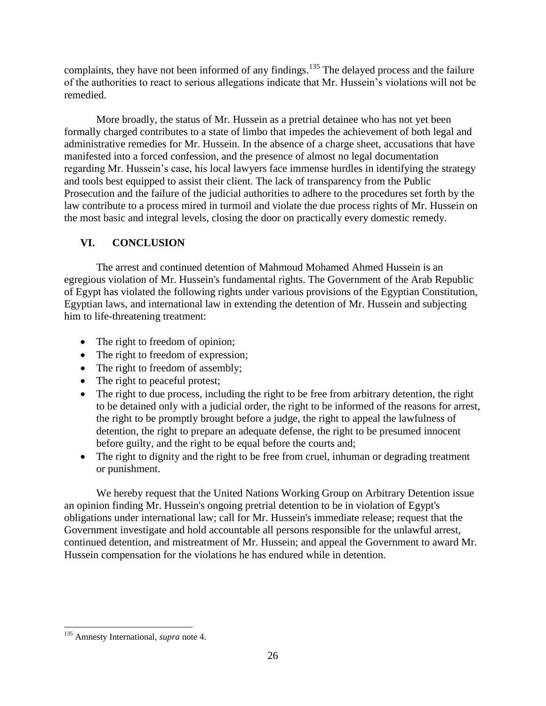complaints, they have not been informed of any findings.<sup>135</sup> The delayed process and the failure of the authorities to react to serious allegations indicate that Mr. Hussein's violations will not be remedied.

More broadly, the status of Mr. Hussein as a pretrial detainee who has not yet been formally charged contributes to a state of limbo that impedes the achievement of both legal and administrative remedies for Mr. Hussein. In the absence of a charge sheet, accusations that have manifested into a forced confession, and the presence of almost no legal documentation regarding Mr. Hussein's case, his local lawyers face immense hurdles in identifying the strategy and tools best equipped to assist their client. The lack of transparency from the Public Prosecution and the failure of the judicial authorities to adhere to the procedures set forth by the law contribute to a process mired in turmoil and violate the due process rights of Mr. Hussein on the most basic and integral levels, closing the door on practically every domestic remedy.

# **VI. CONCLUSION**

The arrest and continued detention of Mahmoud Mohamed Ahmed Hussein is an egregious violation of Mr. Hussein's fundamental rights. The Government of the Arab Republic of Egypt has violated the following rights under various provisions of the Egyptian Constitution, Egyptian laws, and international law in extending the detention of Mr. Hussein and subjecting him to life-threatening treatment:

- The right to freedom of opinion;
- The right to freedom of expression;
- The right to freedom of assembly;
- The right to peaceful protest;
- The right to due process, including the right to be free from arbitrary detention, the right to be detained only with a judicial order, the right to be informed of the reasons for arrest, the right to be promptly brought before a judge, the right to appeal the lawfulness of detention, the right to prepare an adequate defense, the right to be presumed innocent before guilty, and the right to be equal before the courts and;
- The right to dignity and the right to be free from cruel, inhuman or degrading treatment or punishment.

We hereby request that the United Nations Working Group on Arbitrary Detention issue an opinion finding Mr. Hussein's ongoing pretrial detention to be in violation of Egypt's obligations under international law; call for Mr. Hussein's immediate release; request that the Government investigate and hold accountable all persons responsible for the unlawful arrest, continued detention, and mistreatment of Mr. Hussein; and appeal the Government to award Mr. Hussein compensation for the violations he has endured while in detention.

 $\overline{a}$ <sup>135</sup> Amnesty International, *supra* note 4.